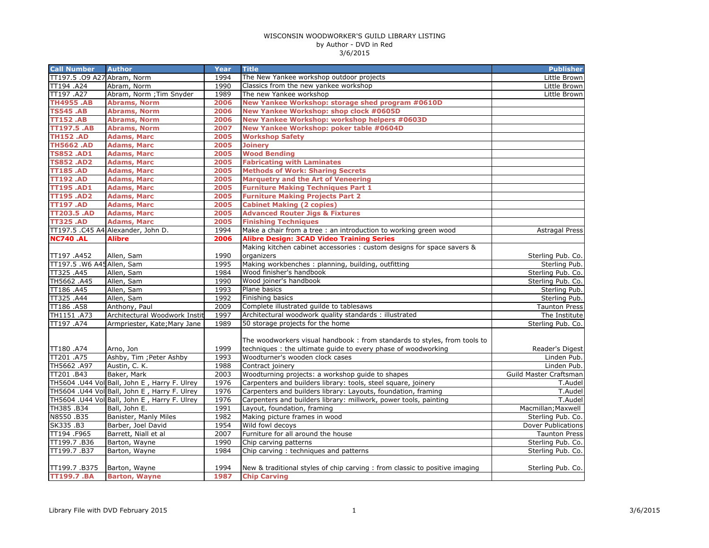| <b>Call Number</b>          | <b>Author</b>                                                                                | Year         | <b>Title</b>                                                                                                      | <b>Publisher</b>                       |
|-----------------------------|----------------------------------------------------------------------------------------------|--------------|-------------------------------------------------------------------------------------------------------------------|----------------------------------------|
| TT197.5 .09 A27 Abram, Norm |                                                                                              | 1994         | The New Yankee workshop outdoor projects                                                                          | Little Brown                           |
| TT194 .A24                  | Abram, Norm                                                                                  | 1990         | Classics from the new yankee workshop                                                                             | Little Brown                           |
| TT197 .A27                  | Abram, Norm ; Tim Snyder                                                                     | 1989         | The new Yankee workshop                                                                                           | Little Brown                           |
| <b>TH4955.AB</b>            | <b>Abrams, Norm</b>                                                                          | 2006         | New Yankee Workshop: storage shed program #0610D                                                                  |                                        |
| <b>TS545.AB</b>             | <b>Abrams, Norm</b>                                                                          | 2006         | New Yankee Workshop: shop clock #0605D                                                                            |                                        |
| <b>TT152.AB</b>             | <b>Abrams, Norm</b>                                                                          | 2006         | New Yankee Workshop: workshop helpers #0603D                                                                      |                                        |
| <b>TT197.5 .AB</b>          | <b>Abrams, Norm</b>                                                                          | 2007         | New Yankee Workshop: poker table #0604D                                                                           |                                        |
| <b>TH152.AD</b>             | <b>Adams, Marc</b>                                                                           | 2005         | <b>Workshop Safety</b>                                                                                            |                                        |
| <b>TH5662.AD</b>            | <b>Adams, Marc</b>                                                                           | 2005         | <b>Joinery</b>                                                                                                    |                                        |
| <b>TS852.AD1</b>            | <b>Adams, Marc</b>                                                                           | 2005         | <b>Wood Bending</b>                                                                                               |                                        |
| <b>TS852.AD2</b>            | <b>Adams, Marc</b>                                                                           | 2005         | <b>Fabricating with Laminates</b>                                                                                 |                                        |
| <b>TT185.AD</b>             | <b>Adams, Marc</b>                                                                           | 2005         | <b>Methods of Work: Sharing Secrets</b>                                                                           |                                        |
| <b>TT192.AD</b>             | <b>Adams, Marc</b>                                                                           | 2005         | <b>Marquetry and the Art of Veneering</b>                                                                         |                                        |
| <b>TT195.AD1</b>            | <b>Adams, Marc</b>                                                                           | 2005         | <b>Furniture Making Techniques Part 1</b>                                                                         |                                        |
| <b>TT195.AD2</b>            | <b>Adams, Marc</b>                                                                           | 2005         | <b>Furniture Making Projects Part 2</b>                                                                           |                                        |
| <b>TT197.AD</b>             | <b>Adams, Marc</b>                                                                           | 2005         | <b>Cabinet Making (2 copies)</b>                                                                                  |                                        |
| <b>TT203.5 .AD</b>          | <b>Adams, Marc</b>                                                                           | 2005         | <b>Advanced Router Jigs &amp; Fixtures</b>                                                                        |                                        |
| <b>TT325.AD</b>             | <b>Adams, Marc</b>                                                                           | 2005         | <b>Finishing Techniques</b>                                                                                       |                                        |
|                             | TT197.5 .C45 A4. Alexander, John D.                                                          | 1994         | Make a chair from a tree : an introduction to working green wood                                                  | <b>Astragal Press</b>                  |
| <b>NC740 .AL</b>            | Alibre                                                                                       | 2006         | <b>Alibre Design: 3CAD Video Training Series</b>                                                                  |                                        |
|                             |                                                                                              |              | Making kitchen cabinet accessories : custom designs for space savers &                                            |                                        |
| TT197 .A452                 | Allen, Sam                                                                                   | 1990         | organizers                                                                                                        | Sterling Pub. Co.                      |
| TT197.5 .W6 A45 Allen, Sam  |                                                                                              | 1995         | Making workbenches: planning, building, outfitting                                                                | Sterling Pub.                          |
| TT325.A45                   | Allen, Sam                                                                                   | 1984         | Wood finisher's handbook                                                                                          | Sterling Pub. Co.                      |
| TH5662.A45                  | Allen, Sam                                                                                   | 1990         | Wood joiner's handbook                                                                                            | Sterling Pub. Co.                      |
| TT186 .A45                  | Allen, Sam                                                                                   | 1993         | Plane basics                                                                                                      | Sterling Pub.                          |
| TT325 .A44                  | Allen, Sam                                                                                   | 1992         | Finishing basics                                                                                                  | Sterling Pub.                          |
| TT186 .A58                  | Anthony, Paul                                                                                | 2009         | Complete illustrated guilde to tablesaws                                                                          | <b>Taunton Press</b>                   |
| TH1151 .A73                 | Architectural Woodwork Instit                                                                | 1997         | Architectural woodwork quality standards: illustrated                                                             | The Institute                          |
| TT197 .A74                  | Armpriester, Kate; Mary Jane                                                                 | 1989         | 50 storage projects for the home                                                                                  | Sterling Pub. Co.                      |
|                             |                                                                                              |              |                                                                                                                   |                                        |
|                             |                                                                                              |              | The woodworkers visual handbook: from standards to styles, from tools to                                          |                                        |
| TT180 .A74                  | Arno, Jon                                                                                    | 1999         | techniques : the ultimate quide to every phase of woodworking                                                     | Reader's Digest                        |
| TT201 .A75                  | Ashby, Tim ; Peter Ashby                                                                     | 1993         | Woodturner's wooden clock cases                                                                                   | Linden Pub.                            |
| TH5662 .A97<br>TT201 .B43   | Austin, C. K.                                                                                | 1988<br>2003 | Contract joinery                                                                                                  | Linden Pub.                            |
|                             | Baker, Mark                                                                                  | 1976         | Woodturning projects: a workshop guide to shapes<br>Carpenters and builders library: tools, steel square, joinery | Guild Master Craftsman                 |
|                             | TH5604 .U44 Vol Ball, John E, Harry F. Ulrey                                                 | 1976         |                                                                                                                   | T.Audel                                |
|                             | TH5604 .U44 Vol Ball, John E, Harry F. Ulrey<br>TH5604 .U44 Vol Ball, John E, Harry F. Ulrey | 1976         | Carpenters and builders library: Layouts, foundation, framing                                                     | T.Audel<br>T.Audel                     |
|                             |                                                                                              |              | Carpenters and builders library: millwork, power tools, painting                                                  |                                        |
| TH385.B34                   | Ball, John E.                                                                                | 1991         | Layout, foundation, framing                                                                                       | Macmillan; Maxwell                     |
| N8550.B35                   | Banister, Manly Miles                                                                        | 1982         | Making picture frames in wood                                                                                     | Sterling Pub. Co.                      |
| SK335.B3<br>TT194 .F965     | Barber, Joel David<br>Barrett, Niall et al                                                   | 1954<br>2007 | Wild fowl decoys<br>Furniture for all around the house                                                            | Dover Publications                     |
|                             |                                                                                              | 1990         | Chip carving patterns                                                                                             | <b>Taunton Press</b>                   |
| TT199.7.B36<br>TT199.7.B37  | Barton, Wayne                                                                                | 1984         | Chip carving: techniques and patterns                                                                             | Sterling Pub. Co.<br>Sterling Pub. Co. |
|                             | Barton, Wayne                                                                                |              |                                                                                                                   |                                        |
| TT199.7.B375                |                                                                                              | 1994         | New & traditional styles of chip carving : from classic to positive imaging                                       | Sterling Pub. Co.                      |
| <b>TT199.7.BA</b>           | Barton, Wayne<br><b>Barton, Wayne</b>                                                        | 1987         | <b>Chip Carving</b>                                                                                               |                                        |
|                             |                                                                                              |              |                                                                                                                   |                                        |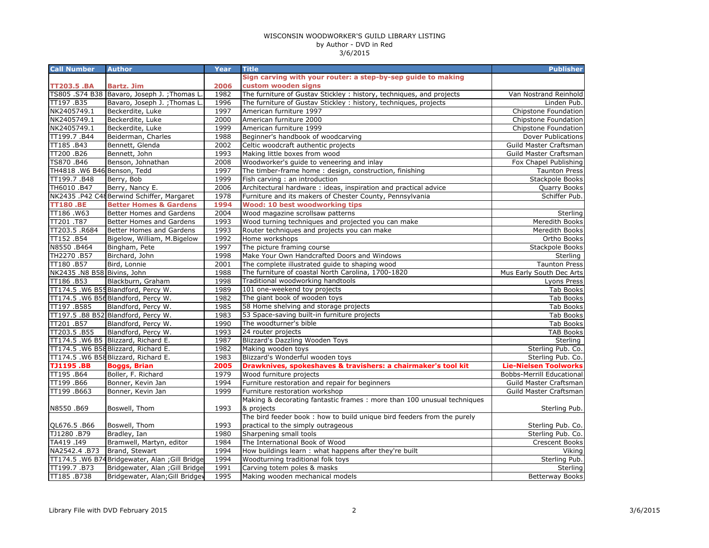| <b>Call Number</b>          | <b>Author</b>                                   | Year | <b>Title</b>                                                           | <b>Publisher</b>             |
|-----------------------------|-------------------------------------------------|------|------------------------------------------------------------------------|------------------------------|
|                             |                                                 |      | Sign carving with your router: a step-by-sep guide to making           |                              |
| <b>TT203.5 .BA</b>          | <b>Bartz. Jim</b>                               | 2006 | custom wooden signs                                                    |                              |
|                             | TS805 .S74 B38 Bavaro, Joseph J.; Thomas L      | 1982 | The furniture of Gustav Stickley : history, techniques, and projects   | Van Nostrand Reinhold        |
| TT197.B35                   | Bavaro, Joseph J.; Thomas L                     | 1996 | The furniture of Gustav Stickley: history, techniques, projects        | Linden Pub.                  |
| NK2405749.1                 | Beckerdite, Luke                                | 1997 | American furniture 1997                                                | Chipstone Foundation         |
| NK2405749.1                 | Beckerdite, Luke                                | 2000 | American furniture 2000                                                | Chipstone Foundation         |
| NK2405749.1                 | Beckerdite, Luke                                | 1999 | American furniture 1999                                                | Chipstone Foundation         |
| TT199.7.B44                 | Beiderman, Charles                              | 1988 | Beginner's handbook of woodcarving                                     | Dover Publications           |
| TT185.B43                   | Bennett, Glenda                                 | 2002 | Celtic woodcraft authentic projects                                    | Guild Master Craftsman       |
| TT200 .B26                  | Bennett, John                                   | 1993 | Making little boxes from wood                                          | Guild Master Craftsman       |
| TS870 .B46                  | Benson, Johnathan                               | 2008 | Woodworker's guide to veneering and inlay                              | Fox Chapel Publishing        |
| TH4818 .W6 B46 Benson, Tedd |                                                 | 1997 | The timber-frame home: design, construction, finishing                 | <b>Taunton Press</b>         |
| TT199.7.B48                 | Berry, Bob                                      | 1999 | Fish carving: an introduction                                          | Stackpole Books              |
| TH6010 .B47                 | Berry, Nancy E.                                 | 2006 | Architectural hardware: ideas, inspiration and practical advice        | Quarry Books                 |
|                             | NK2435 .P42 C48 Berwind Schiffer, Margaret      | 1978 | Furniture and its makers of Chester County, Pennsylvania               | Schiffer Pub.                |
| <b>TT180.BE</b>             | <b>Better Homes &amp; Gardens</b>               | 1994 | <b>Wood: 10 best woodworking tips</b>                                  |                              |
| TT186.W63                   | Better Homes and Gardens                        | 2004 | Wood magazine scrollsaw patterns                                       | <b>Sterling</b>              |
| TT201.T87                   | Better Homes and Gardens                        | 1993 | Wood turning techniques and projected you can make                     | Meredith Books               |
| TT203.5 .R684               | Better Homes and Gardens                        | 1993 | Router techniques and projects you can make                            | Meredith Books               |
| TT152.B54                   | Bigelow, William, M.Bigelow                     | 1992 | Home workshops                                                         | Ortho Books                  |
| N8550.B464                  | Bingham, Pete                                   | 1997 | The picture framing course                                             | Stackpole Books              |
| TH2270.B57                  | Birchard, John                                  | 1998 | Make Your Own Handcrafted Doors and Windows                            | Sterling                     |
| TT180.B57                   | Bird, Lonnie                                    | 2001 | The complete illustrated guide to shaping wood                         | <b>Taunton Press</b>         |
| NK2435 .N8 B58 Bivins, John |                                                 | 1988 | The furniture of coastal North Carolina, 1700-1820                     | Mus Early South Dec Arts     |
| TT186 .B53                  | Blackburn, Graham                               | 1998 | Traditional woodworking handtools                                      | Lyons Press                  |
|                             | TT174.5 .W6 B55 Blandford, Percy W.             | 1989 | 101 one-weekend toy projects                                           | <b>Tab Books</b>             |
|                             | TT174.5 .W6 B56Blandford, Percy W.              | 1982 | The giant book of wooden toys                                          | Tab Books                    |
| TT197.B585                  | Blandford, Percy W.                             | 1985 | 58 Home shelving and storage projects                                  | <b>Tab Books</b>             |
|                             | TT197.5 .B8 B52 Blandford, Percy W.             | 1983 | 53 Space-saving built-in furniture projects                            | <b>Tab Books</b>             |
| TT201.B57                   | Blandford, Percy W.                             | 1990 | The woodturner's bible                                                 | <b>Tab Books</b>             |
| TT203.5.B55                 | Blandford, Percy W.                             | 1993 | 24 router projects                                                     | <b>TAB Books</b>             |
|                             | TT174.5 .W6 B5 Blizzard, Richard E.             | 1987 | Blizzard's Dazzling Wooden Toys                                        | Sterling                     |
|                             | TT174.5 .W6 B58 Blizzard, Richard E.            | 1982 | Making wooden toys                                                     | Sterling Pub. Co.            |
|                             | TT174.5 .W6 B58 Blizzard, Richard E.            | 1983 | Blizzard's Wonderful wooden toys                                       | Sterling Pub. Co.            |
| <b>TJ1195.BB</b>            | <b>Boggs, Brian</b>                             | 2005 | Drawknives, spokeshaves & travishers: a chairmaker's tool kit          | <b>Lie-Nielsen Toolworks</b> |
| TT195.B64                   | Boller, F. Richard                              | 1979 | Wood furniture projects                                                | Bobbs-Merrill Educational    |
| TT199.B66                   | Bonner, Kevin Jan                               | 1994 | Furniture restoration and repair for beginners                         | Guild Master Craftsman       |
| TT199.B663                  | Bonner, Kevin Jan                               | 1999 | Furniture restoration workshop                                         | Guild Master Craftsman       |
|                             |                                                 |      | Making & decorating fantastic frames: more than 100 unusual techniques |                              |
| N8550.B69                   | Boswell, Thom                                   | 1993 | & projects                                                             | Sterling Pub.                |
|                             |                                                 |      | The bird feeder book: how to build unique bird feeders from the purely |                              |
| QL676.5.B66                 | Boswell, Thom                                   | 1993 | practical to the simply outrageous                                     | Sterling Pub. Co.            |
| TJ1280.B79                  | Bradley, Ian                                    | 1980 | Sharpening small tools                                                 | Sterling Pub. Co.            |
| TA419 .I49                  | Bramwell, Martyn, editor                        | 1984 | The International Book of Wood                                         | Crescent Books               |
| NA2542.4 .B73               | Brand, Stewart                                  | 1994 | How buildings learn : what happens after they're built                 | Viking                       |
|                             | TT174.5 .W6 B74 Bridgewater, Alan ; Gill Bridge | 1994 | Woodturning traditional folk toys                                      | Sterling Pub.                |
| TT199.7.B73                 | Bridgewater, Alan ; Gill Bridge                 | 1991 | Carving totem poles & masks                                            | Sterling                     |
| TT185.B738                  | Bridgewater, Alan; Gill Bridgev                 | 1995 | Making wooden mechanical models                                        | <b>Betterway Books</b>       |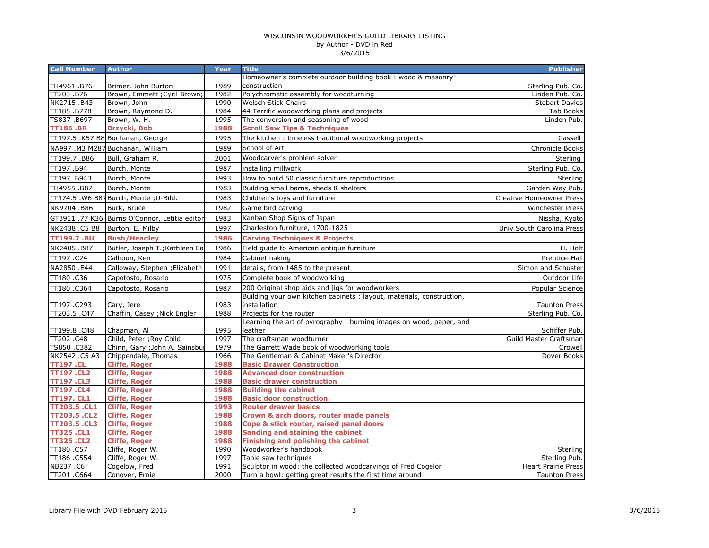| <b>Call Number</b>  | <b>Author</b>                                 | Year | <b>Title</b>                                                          | <b>Publisher</b>                |
|---------------------|-----------------------------------------------|------|-----------------------------------------------------------------------|---------------------------------|
|                     |                                               |      | Homeowner's complete outdoor building book: wood & masonry            |                                 |
| TH4961 .B76         | Brimer, John Burton                           | 1989 | construction                                                          | Sterling Pub. Co.               |
| TT203.B76           | Brown, Emmett ; Cyril Brown;                  | 1982 | Polychromatic assembly for woodturning                                | Linden Pub. Co.                 |
| NK2715.B43          | Brown, John                                   | 1990 | <b>Welsch Stick Chairs</b>                                            | <b>Stobart Davies</b>           |
| TT185.B778          | Brown, Raymond D.                             | 1984 | 44 Terrific woodworking plans and projects                            | <b>Tab Books</b>                |
| TS837.B697          | Brown, W. H.                                  | 1995 | The conversion and seasoning of wood                                  | Linden Pub.                     |
| <b>TT186.BR</b>     | <b>Brzycki, Bob</b>                           | 1988 | <b>Scroll Saw Tips &amp; Techniques</b>                               |                                 |
|                     | TT197.5 .K57 B8. Buchanan, George             | 1995 | The kitchen: timeless traditional woodworking projects                | Cassell                         |
|                     | NA997 .M3 M287 Buchanan, William              | 1989 | School of Art                                                         | Chronicle Books                 |
| TT199.7.B86         | Bull, Graham R.                               | 2001 | Woodcarver's problem solver                                           | Sterling                        |
| TT197.B94           | Burch, Monte                                  | 1987 | installing millwork                                                   | Sterling Pub. Co.               |
| TT197.B943          | Burch, Monte                                  | 1993 | How to build 50 classic furniture reproductions                       | Sterling                        |
| TH4955 .B87         | Burch, Monte                                  | 1983 | Building small barns, sheds & shelters                                | Garden Way Pub.                 |
|                     | TT174.5 .W6 B87Burch, Monte ; U-Bild.         | 1983 | Children's toys and furniture                                         | <b>Creative Homeowner Press</b> |
| NK9704.B86          | Burk, Bruce                                   | 1982 | Game bird carving                                                     | <b>Winchester Press</b>         |
|                     | GT3911 .77 K36 Burns O'Connor, Letitia editor | 1983 | Kanban Shop Signs of Japan                                            | Nissha, Kyoto                   |
| NK2438.C5 B8        | Burton, E. Milby                              | 1997 | Charleston furniture, 1700-1825                                       | Univ South Carolina Press       |
| <b>TT199.7.BU</b>   | <b>Bush/Headley</b>                           | 1986 | <b>Carving Techniques &amp; Projects</b>                              |                                 |
| NK2405.B87          | Butler, Joseph T.; Kathleen Ea                | 1986 | Field guide to American antique furniture                             | H. Holt                         |
| TT197.C24           | Calhoun, Ken                                  | 1984 | Cabinetmaking                                                         | Prentice-Hall                   |
| NA2850 .E44         | Calloway, Stephen ; Elizabeth                 | 1991 | details, from 1485 to the present                                     | Simon and Schuster              |
| TT180.C36           | Capotosto, Rosario                            | 1975 | Complete book of woodworking                                          | Outdoor Life                    |
| TT180.C364          | Capotosto, Rosario                            | 1987 | 200 Original shop aids and jigs for woodworkers                       | Popular Science                 |
|                     |                                               |      | Building your own kitchen cabinets : layout, materials, construction, |                                 |
| TT197.C293          | Cary, Jere                                    | 1983 | installation                                                          | <b>Taunton Press</b>            |
| TT203.5.C47         | Chaffin, Casey ; Nick Engler                  | 1988 | Projects for the router                                               | Sterling Pub. Co.               |
|                     |                                               |      | Learning the art of pyrography: burning images on wood, paper, and    |                                 |
| TT199.8.C48         | Chapman, Al                                   | 1995 | leather                                                               | Schiffer Pub.                   |
| TT202.C48           | Child, Peter ; Roy Child                      | 1997 | The craftsman woodturner                                              | Guild Master Craftsman          |
| TS850.C382          | Chinn, Gary ; John A. Sainsbu                 | 1979 | The Garrett Wade book of woodworking tools                            | Crowell                         |
| NK2542 .C5 A3       | Chippendale, Thomas                           | 1966 | The Gentleman & Cabinet Maker's Director                              | Dover Books                     |
| <b>TT197.CL</b>     | <b>Cliffe, Roger</b>                          | 1988 | <b>Basic Drawer Construction</b>                                      |                                 |
| <b>TT197 .CL2</b>   | <b>Cliffe, Roger</b>                          | 1988 | <b>Advanced door construction</b>                                     |                                 |
| <b>TT197.CL3</b>    | <b>Cliffe, Roger</b>                          | 1988 | <b>Basic drawer construction</b>                                      |                                 |
| <b>TT197.CL4</b>    | <b>Cliffe, Roger</b>                          | 1988 | <b>Building the cabinet</b>                                           |                                 |
| <b>TT197. CL1</b>   | <b>Cliffe, Roger</b>                          | 1988 | <b>Basic door construction</b>                                        |                                 |
| TT203.5 .CL1        | <b>Cliffe, Roger</b>                          | 1993 | <b>Router drawer basics</b>                                           |                                 |
| <b>TT203.5 .CL2</b> | <b>Cliffe, Roger</b>                          | 1988 | Crown & arch doors, router made panels                                |                                 |
| <b>TT203.5 .CL3</b> | <b>Cliffe, Roger</b>                          | 1988 | Cope & stick router, raised panel doors                               |                                 |
| <b>TT325.CL1</b>    | <b>Cliffe, Roger</b>                          | 1988 | Sanding and staining the cabinet                                      |                                 |
| <b>TT325.CL2</b>    | <b>Cliffe, Roger</b>                          | 1988 | Finishing and polishing the cabinet                                   |                                 |
| TT180.C57           | Cliffe, Roger W.                              | 1990 | Woodworker's handbook                                                 | Sterling                        |
| TT186.C554          | Cliffe, Roger W.                              | 1997 | Table saw techniques                                                  | Sterling Pub.                   |
| NB237.C6            | Cogelow, Fred                                 | 1991 | Sculptor in wood: the collected woodcarvings of Fred Cogelor          | <b>Heart Prairie Press</b>      |
| TT201 .C664         | Conover, Ernie                                | 2000 | Turn a bowl: getting great results the first time around              | <b>Taunton Press</b>            |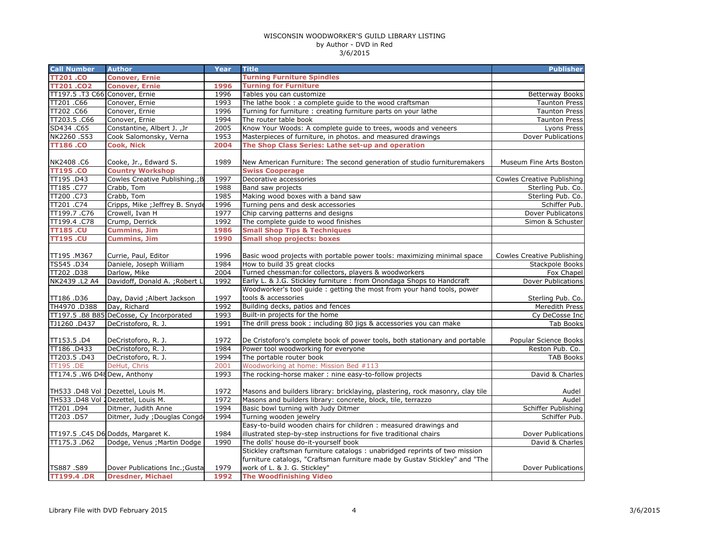| <b>Call Number</b>             | <b>Author</b>                            | Year | <b>Title</b>                                                                  | <b>Publisher</b>                  |
|--------------------------------|------------------------------------------|------|-------------------------------------------------------------------------------|-----------------------------------|
| <b>TT201.CO</b>                | <b>Conover, Ernie</b>                    |      | <b>Turning Furniture Spindles</b>                                             |                                   |
| <b>TT201.CO2</b>               | <b>Conover, Ernie</b>                    | 1996 | <b>Turning for Furniture</b>                                                  |                                   |
| TT197.5 .T3 C66 Conover, Ernie |                                          | 1996 | Tables you can customize                                                      | <b>Betterway Books</b>            |
| TT201 .C66                     | Conover, Ernie                           | 1993 | The lathe book: a complete guide to the wood craftsman                        | <b>Taunton Press</b>              |
| TT202.C66                      | Conover, Ernie                           | 1996 | Turning for furniture : creating furniture parts on your lathe                | <b>Taunton Press</b>              |
| TT203.5 .C66                   | Conover, Ernie                           | 1994 | The router table book                                                         | <b>Taunton Press</b>              |
| SD434.C65                      | Constantine, Albert J., Jr               | 2005 | Know Your Woods: A complete guide to trees, woods and veneers                 | Lyons Press                       |
| NK2260.S53                     | Cook Salomonsky, Verna                   | 1953 | Masterpieces of furniture, in photos. and measured drawings                   | Dover Publications                |
| <b>TT186.CO</b>                | <b>Cook, Nick</b>                        | 2004 | The Shop Class Series: Lathe set-up and operation                             |                                   |
|                                |                                          |      |                                                                               |                                   |
| NK2408.C6                      | Cooke, Jr., Edward S.                    | 1989 | New American Furniture: The second generation of studio furnituremakers       | Museum Fine Arts Boston           |
| <b>TT195.CO</b>                | <b>Country Workshop</b>                  |      | <b>Swiss Cooperage</b>                                                        |                                   |
| TT195.D43                      | Cowles Creative Publishing.; B           | 1997 | Decorative accessories                                                        | <b>Cowles Creative Publishing</b> |
| TT185.C77                      | Crabb, Tom                               | 1988 | Band saw projects                                                             | Sterling Pub. Co.                 |
| TT200 .C73                     | Crabb, Tom                               | 1985 | Making wood boxes with a band saw                                             | Sterling Pub. Co.                 |
| TT201 .C74                     | Cripps, Mike ; Jeffrey B. Snyde          | 1996 | Turning pens and desk accessories                                             | Schiffer Pub.                     |
| TT199.7.C76                    | Crowell, Ivan H                          | 1977 | Chip carving patterns and designs                                             | Dover Publicatons                 |
| TT199.4.C78                    | Crump, Derrick                           | 1992 | The complete quide to wood finishes                                           | Simon & Schuster                  |
| <b>TT185.CU</b>                | <b>Cummins, Jim</b>                      | 1986 | <b>Small Shop Tips &amp; Techniques</b>                                       |                                   |
| <b>TT195.CU</b>                | <b>Cummins, Jim</b>                      | 1990 | <b>Small shop projects: boxes</b>                                             |                                   |
|                                |                                          |      |                                                                               |                                   |
| TT195.M367                     | Currie, Paul, Editor                     | 1996 | Basic wood projects with portable power tools: maximizing minimal space       | Cowles Creative Publishing        |
| TS545.D34                      | Daniele, Joseph William                  | 1984 | How to build 35 great clocks                                                  | Stackpole Books                   |
| TT202.D38                      | Darlow, Mike                             | 2004 | Turned chessman: for collectors, players & woodworkers                        | Fox Chapel                        |
| NK2439 .L2 A4                  | Davidoff, Donald A. ; Robert L           | 1992 | Early L. & J.G. Stickley furniture : from Onondaga Shops to Handcraft         | Dover Publications                |
|                                |                                          |      | Woodworker's tool guide : getting the most from your hand tools, power        |                                   |
| TT186.D36                      | Day, David ; Albert Jackson              | 1997 | tools & accessories                                                           | Sterling Pub. Co.                 |
| TH4970.D388                    | Day, Richard                             | 1992 | Building decks, patios and fences                                             | Meredith Press                    |
|                                | TT197.5 .B8 B85 DeCosse, Cy Incorporated | 1993 | Built-in projects for the home                                                | Cy DeCosse Inc                    |
| TJ1260 .D437                   | DeCristoforo, R. J.                      | 1991 | The drill press book: including 80 jigs & accessories you can make            | <b>Tab Books</b>                  |
|                                |                                          |      |                                                                               |                                   |
| TT153.5.D4                     | DeCristoforo, R. J.                      | 1972 | De Cristoforo's complete book of power tools, both stationary and portable    | Popular Science Books             |
| TT186 .D433                    | DeCristoforo, R. J.                      | 1984 | Power tool woodworking for everyone                                           | Reston Pub. Co.                   |
| TT203.5 .D43                   | DeCristoforo, R. J.                      | 1994 | The portable router book                                                      | <b>TAB Books</b>                  |
| <b>TT195.DE</b>                | DeHut, Chris                             | 2001 | Woodworking at home: Mission Bed #113                                         |                                   |
| TT174.5 .W6 D48 Dew, Anthony   |                                          | 1993 | The rocking-horse maker: nine easy-to-follow projects                         | David & Charles                   |
|                                |                                          |      |                                                                               |                                   |
|                                | TH533 .D48 Vol 1Dezettel, Louis M.       | 1972 | Masons and builders library: bricklaying, plastering, rock masonry, clay tile | Audel                             |
|                                | TH533 .D48 Vol 2Dezettel, Louis M.       | 1972 | Masons and builders library: concrete, block, tile, terrazzo                  | Audel                             |
| TT201.D94                      | Ditmer, Judith Anne                      | 1994 | Basic bowl turning with Judy Ditmer                                           | Schiffer Publishing               |
| TT203.D57                      | Ditmer, Judy ; Douglas Congd             | 1994 | Turning wooden jewelry                                                        | Schiffer Pub.                     |
|                                |                                          |      | Easy-to-build wooden chairs for children: measured drawings and               |                                   |
|                                | TT197.5 .C45 D6 Dodds, Margaret K.       | 1984 | illustrated step-by-step instructions for five traditional chairs             | <b>Dover Publications</b>         |
| TT175.3 .D62                   | Dodge, Venus ; Martin Dodge              | 1990 | The dolls' house do-it-yourself book                                          | David & Charles                   |
|                                |                                          |      | Stickley craftsman furniture catalogs : unabridged reprints of two mission    |                                   |
|                                |                                          |      | furniture catalogs, "Craftsman furniture made by Gustav Stickley" and "The    |                                   |
| TS887.S89                      | Dover Publications Inc.; Gusta           | 1979 | work of L. & J. G. Stickley"                                                  | <b>Dover Publications</b>         |
| <b>TT199.4.DR</b>              | <b>Dresdner, Michael</b>                 | 1992 | <b>The Woodfinishing Video</b>                                                |                                   |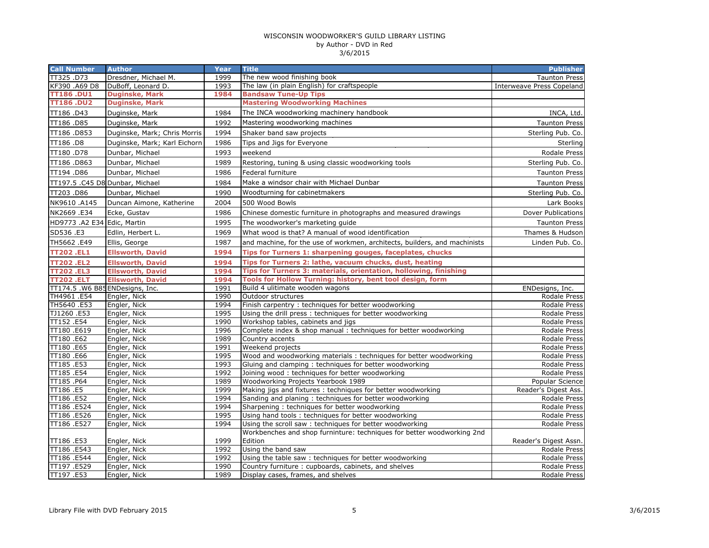| TT325.D73<br>1999<br>Dresdner, Michael M.<br>The new wood finishing book<br><b>Taunton Press</b><br>KF390 .A69 D8<br>DuBoff, Leonard D.<br>1993<br>The law (in plain English) for craftspeople<br><b>Interweave Press Copeland</b><br><b>TT186.DU1</b><br>1984<br><b>Bandsaw Tune-Up Tips</b><br><b>Duginske, Mark</b><br><b>TT186.DU2</b><br><b>Duginske, Mark</b><br><b>Mastering Woodworking Machines</b><br>TT186.D43<br>1984<br>The INCA woodworking machinery handbook<br>INCA, Ltd.<br>Duginske, Mark<br>TT186.D85<br>1992<br>Duginske, Mark<br>Mastering woodworking machines<br><b>Taunton Press</b><br>TT186.D853<br>1994<br>Duginske, Mark; Chris Morris<br>Shaker band saw projects<br>Sterling Pub. Co.<br>TT186.D8<br>1986<br>Duginske, Mark; Karl Eichorn<br>Tips and Jigs for Everyone<br>Sterling<br>TT180.D78<br>Dunbar, Michael<br>weekend<br><b>Rodale Press</b><br>1993<br>TT186.D863<br>Dunbar, Michael<br>1989<br>Restoring, tuning & using classic woodworking tools<br>Sterling Pub. Co.<br>TT194.D86<br>Dunbar, Michael<br>1986<br>Federal furniture<br><b>Taunton Press</b><br>TT197.5 .C45 D8 Dunbar, Michael<br>1984<br>Make a windsor chair with Michael Dunbar<br><b>Taunton Press</b><br>Woodturning for cabinetmakers<br>TT203.D86<br>Dunbar, Michael<br>1990<br>Sterling Pub. Co.<br>500 Wood Bowls<br>NK9610 .A145<br>2004<br>Duncan Aimone, Katherine<br>Lark Books<br>NK2669 .E34<br>Dover Publications<br>Ecke, Gustav<br>1986<br>Chinese domestic furniture in photographs and measured drawings<br>HD9773 .A2 E34 Edic, Martin<br>1995<br>The woodworker's marketing guide<br><b>Taunton Press</b><br>SD536.E3<br>What wood is that? A manual of wood identification<br>Edlin, Herbert L.<br>1969<br>Thames & Hudson<br>TH5662.E49<br>and machine, for the use of workmen, architects, builders, and machinists<br>Ellis, George<br>1987<br>Linden Pub. Co.<br><b>TT202.EL1</b><br>1994<br><b>Ellsworth, David</b><br>Tips for Turners 1: sharpening gouges, faceplates, chucks<br><b>TT202.EL2</b><br><b>Ellsworth, David</b><br>Tips for Turners 2: lathe, vacuum chucks, dust, heating<br>1994<br><b>TT202.EL3</b><br><b>Ellsworth, David</b><br>1994<br>Tips for Turners 3: materials, orientation, hollowing, finishing<br>Tools for Hollow Turning: history, bent tool design, form<br><b>TT202.ELT</b><br><b>Ellsworth, David</b><br>1994<br>TT174.5 .W6 B85ENDesigns, Inc.<br>1991<br>Build 4 ulitimate wooden wagons<br>ENDesigns, Inc.<br>TH4961 .E54<br>1990<br>Engler, Nick<br>Outdoor structures<br>Rodale Press<br>TH5640 .E53<br>Finish carpentry: techniques for better woodworking<br>1994<br>Engler, Nick<br>Rodale Press<br>TJ1260.E53<br>Using the drill press : techniques for better woodworking<br>Engler, Nick<br>1995<br>Rodale Press<br>TT152.E54<br>Engler, Nick<br>1990<br>Workshop tables, cabinets and jigs<br>Rodale Press<br>TT180.E619<br>Engler, Nick<br>1996<br>Complete index & shop manual: techniques for better woodworking<br>Rodale Press<br>TT180 .E62<br>Engler, Nick<br>1989<br>Country accents<br>Rodale Press<br>TT180.E65<br>Engler, Nick<br>1991<br>Weekend projects<br><b>Rodale Press</b><br>TT180.E66<br>Wood and woodworking materials: techniques for better woodworking<br>Engler, Nick<br>1995<br>Rodale Press<br>Gluing and clamping: techniques for better woodworking<br>TT185.E53<br>Engler, Nick<br>1993<br><b>Rodale Press</b><br>TT185.E54<br>Engler, Nick<br>1992<br>Joining wood: techniques for better woodworking<br><b>Rodale Press</b><br>TT185.P64<br>Engler, Nick<br>Woodworking Projects Yearbook 1989<br>1989<br>Popular Science<br>TT186 .E5<br>Engler, Nick<br>1999<br>Making jigs and fixtures: techniques for better woodworking<br>Reader's Digest Ass.<br>TT186.E52<br>1994<br>Sanding and planing: techniques for better woodworking<br>Engler, Nick<br><b>Rodale Press</b><br>TT186.E524<br>1994<br>Engler, Nick<br>Sharpening: techniques for better woodworking<br>Rodale Press<br>TT186 .E526<br>1995<br>Engler, Nick<br>Using hand tools: techniques for better woodworking<br>Rodale Press<br>TT186 .E527<br>Using the scroll saw: techniques for better woodworking<br>Engler, Nick<br>1994<br>Rodale Press<br>Workbenches and shop furninture: techniques for better woodworking 2nd<br>1999<br>Edition<br>TT186 .E53<br>Engler, Nick<br>Reader's Digest Assn.<br>TT186 .E543<br>1992<br>Using the band saw<br>Engler, Nick<br>Rodale Press<br>TT186 .E544<br>1992<br>Using the table saw: techniques for better woodworking<br>Rodale Press<br>Engler, Nick<br>TT197.E529<br>1990<br>Engler, Nick<br>Country furniture: cupboards, cabinets, and shelves<br>Rodale Press<br>TT197.E53<br>1989<br>Display cases, frames, and shelves<br>Rodale Press<br>Engler, Nick | <b>Call Number</b> | <b>Author</b> | Year | <b>Title</b> | <b>Publisher</b> |
|-----------------------------------------------------------------------------------------------------------------------------------------------------------------------------------------------------------------------------------------------------------------------------------------------------------------------------------------------------------------------------------------------------------------------------------------------------------------------------------------------------------------------------------------------------------------------------------------------------------------------------------------------------------------------------------------------------------------------------------------------------------------------------------------------------------------------------------------------------------------------------------------------------------------------------------------------------------------------------------------------------------------------------------------------------------------------------------------------------------------------------------------------------------------------------------------------------------------------------------------------------------------------------------------------------------------------------------------------------------------------------------------------------------------------------------------------------------------------------------------------------------------------------------------------------------------------------------------------------------------------------------------------------------------------------------------------------------------------------------------------------------------------------------------------------------------------------------------------------------------------------------------------------------------------------------------------------------------------------------------------------------------------------------------------------------------------------------------------------------------------------------------------------------------------------------------------------------------------------------------------------------------------------------------------------------------------------------------------------------------------------------------------------------------------------------------------------------------------------------------------------------------------------------------------------------------------------------------------------------------------------------------------------------------------------------------------------------------------------------------------------------------------------------------------------------------------------------------------------------------------------------------------------------------------------------------------------------------------------------------------------------------------------------------------------------------------------------------------------------------------------------------------------------------------------------------------------------------------------------------------------------------------------------------------------------------------------------------------------------------------------------------------------------------------------------------------------------------------------------------------------------------------------------------------------------------------------------------------------------------------------------------------------------------------------------------------------------------------------------------------------------------------------------------------------------------------------------------------------------------------------------------------------------------------------------------------------------------------------------------------------------------------------------------------------------------------------------------------------------------------------------------------------------------------------------------------------------------------------------------------------------------------------------------------------------------------------------------------------------------------------------------------------------------------------------------------------------------------------------------------------------------------------------------------------------------------------------------------------------------------------------------------------------------------------------------------------------------------------------------------------------------------------------------------------|--------------------|---------------|------|--------------|------------------|
|                                                                                                                                                                                                                                                                                                                                                                                                                                                                                                                                                                                                                                                                                                                                                                                                                                                                                                                                                                                                                                                                                                                                                                                                                                                                                                                                                                                                                                                                                                                                                                                                                                                                                                                                                                                                                                                                                                                                                                                                                                                                                                                                                                                                                                                                                                                                                                                                                                                                                                                                                                                                                                                                                                                                                                                                                                                                                                                                                                                                                                                                                                                                                                                                                                                                                                                                                                                                                                                                                                                                                                                                                                                                                                                                                                                                                                                                                                                                                                                                                                                                                                                                                                                                                                                                                                                                                                                                                                                                                                                                                                                                                                                                                                                                                                                                     |                    |               |      |              |                  |
|                                                                                                                                                                                                                                                                                                                                                                                                                                                                                                                                                                                                                                                                                                                                                                                                                                                                                                                                                                                                                                                                                                                                                                                                                                                                                                                                                                                                                                                                                                                                                                                                                                                                                                                                                                                                                                                                                                                                                                                                                                                                                                                                                                                                                                                                                                                                                                                                                                                                                                                                                                                                                                                                                                                                                                                                                                                                                                                                                                                                                                                                                                                                                                                                                                                                                                                                                                                                                                                                                                                                                                                                                                                                                                                                                                                                                                                                                                                                                                                                                                                                                                                                                                                                                                                                                                                                                                                                                                                                                                                                                                                                                                                                                                                                                                                                     |                    |               |      |              |                  |
|                                                                                                                                                                                                                                                                                                                                                                                                                                                                                                                                                                                                                                                                                                                                                                                                                                                                                                                                                                                                                                                                                                                                                                                                                                                                                                                                                                                                                                                                                                                                                                                                                                                                                                                                                                                                                                                                                                                                                                                                                                                                                                                                                                                                                                                                                                                                                                                                                                                                                                                                                                                                                                                                                                                                                                                                                                                                                                                                                                                                                                                                                                                                                                                                                                                                                                                                                                                                                                                                                                                                                                                                                                                                                                                                                                                                                                                                                                                                                                                                                                                                                                                                                                                                                                                                                                                                                                                                                                                                                                                                                                                                                                                                                                                                                                                                     |                    |               |      |              |                  |
|                                                                                                                                                                                                                                                                                                                                                                                                                                                                                                                                                                                                                                                                                                                                                                                                                                                                                                                                                                                                                                                                                                                                                                                                                                                                                                                                                                                                                                                                                                                                                                                                                                                                                                                                                                                                                                                                                                                                                                                                                                                                                                                                                                                                                                                                                                                                                                                                                                                                                                                                                                                                                                                                                                                                                                                                                                                                                                                                                                                                                                                                                                                                                                                                                                                                                                                                                                                                                                                                                                                                                                                                                                                                                                                                                                                                                                                                                                                                                                                                                                                                                                                                                                                                                                                                                                                                                                                                                                                                                                                                                                                                                                                                                                                                                                                                     |                    |               |      |              |                  |
|                                                                                                                                                                                                                                                                                                                                                                                                                                                                                                                                                                                                                                                                                                                                                                                                                                                                                                                                                                                                                                                                                                                                                                                                                                                                                                                                                                                                                                                                                                                                                                                                                                                                                                                                                                                                                                                                                                                                                                                                                                                                                                                                                                                                                                                                                                                                                                                                                                                                                                                                                                                                                                                                                                                                                                                                                                                                                                                                                                                                                                                                                                                                                                                                                                                                                                                                                                                                                                                                                                                                                                                                                                                                                                                                                                                                                                                                                                                                                                                                                                                                                                                                                                                                                                                                                                                                                                                                                                                                                                                                                                                                                                                                                                                                                                                                     |                    |               |      |              |                  |
|                                                                                                                                                                                                                                                                                                                                                                                                                                                                                                                                                                                                                                                                                                                                                                                                                                                                                                                                                                                                                                                                                                                                                                                                                                                                                                                                                                                                                                                                                                                                                                                                                                                                                                                                                                                                                                                                                                                                                                                                                                                                                                                                                                                                                                                                                                                                                                                                                                                                                                                                                                                                                                                                                                                                                                                                                                                                                                                                                                                                                                                                                                                                                                                                                                                                                                                                                                                                                                                                                                                                                                                                                                                                                                                                                                                                                                                                                                                                                                                                                                                                                                                                                                                                                                                                                                                                                                                                                                                                                                                                                                                                                                                                                                                                                                                                     |                    |               |      |              |                  |
|                                                                                                                                                                                                                                                                                                                                                                                                                                                                                                                                                                                                                                                                                                                                                                                                                                                                                                                                                                                                                                                                                                                                                                                                                                                                                                                                                                                                                                                                                                                                                                                                                                                                                                                                                                                                                                                                                                                                                                                                                                                                                                                                                                                                                                                                                                                                                                                                                                                                                                                                                                                                                                                                                                                                                                                                                                                                                                                                                                                                                                                                                                                                                                                                                                                                                                                                                                                                                                                                                                                                                                                                                                                                                                                                                                                                                                                                                                                                                                                                                                                                                                                                                                                                                                                                                                                                                                                                                                                                                                                                                                                                                                                                                                                                                                                                     |                    |               |      |              |                  |
|                                                                                                                                                                                                                                                                                                                                                                                                                                                                                                                                                                                                                                                                                                                                                                                                                                                                                                                                                                                                                                                                                                                                                                                                                                                                                                                                                                                                                                                                                                                                                                                                                                                                                                                                                                                                                                                                                                                                                                                                                                                                                                                                                                                                                                                                                                                                                                                                                                                                                                                                                                                                                                                                                                                                                                                                                                                                                                                                                                                                                                                                                                                                                                                                                                                                                                                                                                                                                                                                                                                                                                                                                                                                                                                                                                                                                                                                                                                                                                                                                                                                                                                                                                                                                                                                                                                                                                                                                                                                                                                                                                                                                                                                                                                                                                                                     |                    |               |      |              |                  |
|                                                                                                                                                                                                                                                                                                                                                                                                                                                                                                                                                                                                                                                                                                                                                                                                                                                                                                                                                                                                                                                                                                                                                                                                                                                                                                                                                                                                                                                                                                                                                                                                                                                                                                                                                                                                                                                                                                                                                                                                                                                                                                                                                                                                                                                                                                                                                                                                                                                                                                                                                                                                                                                                                                                                                                                                                                                                                                                                                                                                                                                                                                                                                                                                                                                                                                                                                                                                                                                                                                                                                                                                                                                                                                                                                                                                                                                                                                                                                                                                                                                                                                                                                                                                                                                                                                                                                                                                                                                                                                                                                                                                                                                                                                                                                                                                     |                    |               |      |              |                  |
|                                                                                                                                                                                                                                                                                                                                                                                                                                                                                                                                                                                                                                                                                                                                                                                                                                                                                                                                                                                                                                                                                                                                                                                                                                                                                                                                                                                                                                                                                                                                                                                                                                                                                                                                                                                                                                                                                                                                                                                                                                                                                                                                                                                                                                                                                                                                                                                                                                                                                                                                                                                                                                                                                                                                                                                                                                                                                                                                                                                                                                                                                                                                                                                                                                                                                                                                                                                                                                                                                                                                                                                                                                                                                                                                                                                                                                                                                                                                                                                                                                                                                                                                                                                                                                                                                                                                                                                                                                                                                                                                                                                                                                                                                                                                                                                                     |                    |               |      |              |                  |
|                                                                                                                                                                                                                                                                                                                                                                                                                                                                                                                                                                                                                                                                                                                                                                                                                                                                                                                                                                                                                                                                                                                                                                                                                                                                                                                                                                                                                                                                                                                                                                                                                                                                                                                                                                                                                                                                                                                                                                                                                                                                                                                                                                                                                                                                                                                                                                                                                                                                                                                                                                                                                                                                                                                                                                                                                                                                                                                                                                                                                                                                                                                                                                                                                                                                                                                                                                                                                                                                                                                                                                                                                                                                                                                                                                                                                                                                                                                                                                                                                                                                                                                                                                                                                                                                                                                                                                                                                                                                                                                                                                                                                                                                                                                                                                                                     |                    |               |      |              |                  |
|                                                                                                                                                                                                                                                                                                                                                                                                                                                                                                                                                                                                                                                                                                                                                                                                                                                                                                                                                                                                                                                                                                                                                                                                                                                                                                                                                                                                                                                                                                                                                                                                                                                                                                                                                                                                                                                                                                                                                                                                                                                                                                                                                                                                                                                                                                                                                                                                                                                                                                                                                                                                                                                                                                                                                                                                                                                                                                                                                                                                                                                                                                                                                                                                                                                                                                                                                                                                                                                                                                                                                                                                                                                                                                                                                                                                                                                                                                                                                                                                                                                                                                                                                                                                                                                                                                                                                                                                                                                                                                                                                                                                                                                                                                                                                                                                     |                    |               |      |              |                  |
|                                                                                                                                                                                                                                                                                                                                                                                                                                                                                                                                                                                                                                                                                                                                                                                                                                                                                                                                                                                                                                                                                                                                                                                                                                                                                                                                                                                                                                                                                                                                                                                                                                                                                                                                                                                                                                                                                                                                                                                                                                                                                                                                                                                                                                                                                                                                                                                                                                                                                                                                                                                                                                                                                                                                                                                                                                                                                                                                                                                                                                                                                                                                                                                                                                                                                                                                                                                                                                                                                                                                                                                                                                                                                                                                                                                                                                                                                                                                                                                                                                                                                                                                                                                                                                                                                                                                                                                                                                                                                                                                                                                                                                                                                                                                                                                                     |                    |               |      |              |                  |
|                                                                                                                                                                                                                                                                                                                                                                                                                                                                                                                                                                                                                                                                                                                                                                                                                                                                                                                                                                                                                                                                                                                                                                                                                                                                                                                                                                                                                                                                                                                                                                                                                                                                                                                                                                                                                                                                                                                                                                                                                                                                                                                                                                                                                                                                                                                                                                                                                                                                                                                                                                                                                                                                                                                                                                                                                                                                                                                                                                                                                                                                                                                                                                                                                                                                                                                                                                                                                                                                                                                                                                                                                                                                                                                                                                                                                                                                                                                                                                                                                                                                                                                                                                                                                                                                                                                                                                                                                                                                                                                                                                                                                                                                                                                                                                                                     |                    |               |      |              |                  |
|                                                                                                                                                                                                                                                                                                                                                                                                                                                                                                                                                                                                                                                                                                                                                                                                                                                                                                                                                                                                                                                                                                                                                                                                                                                                                                                                                                                                                                                                                                                                                                                                                                                                                                                                                                                                                                                                                                                                                                                                                                                                                                                                                                                                                                                                                                                                                                                                                                                                                                                                                                                                                                                                                                                                                                                                                                                                                                                                                                                                                                                                                                                                                                                                                                                                                                                                                                                                                                                                                                                                                                                                                                                                                                                                                                                                                                                                                                                                                                                                                                                                                                                                                                                                                                                                                                                                                                                                                                                                                                                                                                                                                                                                                                                                                                                                     |                    |               |      |              |                  |
|                                                                                                                                                                                                                                                                                                                                                                                                                                                                                                                                                                                                                                                                                                                                                                                                                                                                                                                                                                                                                                                                                                                                                                                                                                                                                                                                                                                                                                                                                                                                                                                                                                                                                                                                                                                                                                                                                                                                                                                                                                                                                                                                                                                                                                                                                                                                                                                                                                                                                                                                                                                                                                                                                                                                                                                                                                                                                                                                                                                                                                                                                                                                                                                                                                                                                                                                                                                                                                                                                                                                                                                                                                                                                                                                                                                                                                                                                                                                                                                                                                                                                                                                                                                                                                                                                                                                                                                                                                                                                                                                                                                                                                                                                                                                                                                                     |                    |               |      |              |                  |
|                                                                                                                                                                                                                                                                                                                                                                                                                                                                                                                                                                                                                                                                                                                                                                                                                                                                                                                                                                                                                                                                                                                                                                                                                                                                                                                                                                                                                                                                                                                                                                                                                                                                                                                                                                                                                                                                                                                                                                                                                                                                                                                                                                                                                                                                                                                                                                                                                                                                                                                                                                                                                                                                                                                                                                                                                                                                                                                                                                                                                                                                                                                                                                                                                                                                                                                                                                                                                                                                                                                                                                                                                                                                                                                                                                                                                                                                                                                                                                                                                                                                                                                                                                                                                                                                                                                                                                                                                                                                                                                                                                                                                                                                                                                                                                                                     |                    |               |      |              |                  |
|                                                                                                                                                                                                                                                                                                                                                                                                                                                                                                                                                                                                                                                                                                                                                                                                                                                                                                                                                                                                                                                                                                                                                                                                                                                                                                                                                                                                                                                                                                                                                                                                                                                                                                                                                                                                                                                                                                                                                                                                                                                                                                                                                                                                                                                                                                                                                                                                                                                                                                                                                                                                                                                                                                                                                                                                                                                                                                                                                                                                                                                                                                                                                                                                                                                                                                                                                                                                                                                                                                                                                                                                                                                                                                                                                                                                                                                                                                                                                                                                                                                                                                                                                                                                                                                                                                                                                                                                                                                                                                                                                                                                                                                                                                                                                                                                     |                    |               |      |              |                  |
|                                                                                                                                                                                                                                                                                                                                                                                                                                                                                                                                                                                                                                                                                                                                                                                                                                                                                                                                                                                                                                                                                                                                                                                                                                                                                                                                                                                                                                                                                                                                                                                                                                                                                                                                                                                                                                                                                                                                                                                                                                                                                                                                                                                                                                                                                                                                                                                                                                                                                                                                                                                                                                                                                                                                                                                                                                                                                                                                                                                                                                                                                                                                                                                                                                                                                                                                                                                                                                                                                                                                                                                                                                                                                                                                                                                                                                                                                                                                                                                                                                                                                                                                                                                                                                                                                                                                                                                                                                                                                                                                                                                                                                                                                                                                                                                                     |                    |               |      |              |                  |
|                                                                                                                                                                                                                                                                                                                                                                                                                                                                                                                                                                                                                                                                                                                                                                                                                                                                                                                                                                                                                                                                                                                                                                                                                                                                                                                                                                                                                                                                                                                                                                                                                                                                                                                                                                                                                                                                                                                                                                                                                                                                                                                                                                                                                                                                                                                                                                                                                                                                                                                                                                                                                                                                                                                                                                                                                                                                                                                                                                                                                                                                                                                                                                                                                                                                                                                                                                                                                                                                                                                                                                                                                                                                                                                                                                                                                                                                                                                                                                                                                                                                                                                                                                                                                                                                                                                                                                                                                                                                                                                                                                                                                                                                                                                                                                                                     |                    |               |      |              |                  |
|                                                                                                                                                                                                                                                                                                                                                                                                                                                                                                                                                                                                                                                                                                                                                                                                                                                                                                                                                                                                                                                                                                                                                                                                                                                                                                                                                                                                                                                                                                                                                                                                                                                                                                                                                                                                                                                                                                                                                                                                                                                                                                                                                                                                                                                                                                                                                                                                                                                                                                                                                                                                                                                                                                                                                                                                                                                                                                                                                                                                                                                                                                                                                                                                                                                                                                                                                                                                                                                                                                                                                                                                                                                                                                                                                                                                                                                                                                                                                                                                                                                                                                                                                                                                                                                                                                                                                                                                                                                                                                                                                                                                                                                                                                                                                                                                     |                    |               |      |              |                  |
|                                                                                                                                                                                                                                                                                                                                                                                                                                                                                                                                                                                                                                                                                                                                                                                                                                                                                                                                                                                                                                                                                                                                                                                                                                                                                                                                                                                                                                                                                                                                                                                                                                                                                                                                                                                                                                                                                                                                                                                                                                                                                                                                                                                                                                                                                                                                                                                                                                                                                                                                                                                                                                                                                                                                                                                                                                                                                                                                                                                                                                                                                                                                                                                                                                                                                                                                                                                                                                                                                                                                                                                                                                                                                                                                                                                                                                                                                                                                                                                                                                                                                                                                                                                                                                                                                                                                                                                                                                                                                                                                                                                                                                                                                                                                                                                                     |                    |               |      |              |                  |
|                                                                                                                                                                                                                                                                                                                                                                                                                                                                                                                                                                                                                                                                                                                                                                                                                                                                                                                                                                                                                                                                                                                                                                                                                                                                                                                                                                                                                                                                                                                                                                                                                                                                                                                                                                                                                                                                                                                                                                                                                                                                                                                                                                                                                                                                                                                                                                                                                                                                                                                                                                                                                                                                                                                                                                                                                                                                                                                                                                                                                                                                                                                                                                                                                                                                                                                                                                                                                                                                                                                                                                                                                                                                                                                                                                                                                                                                                                                                                                                                                                                                                                                                                                                                                                                                                                                                                                                                                                                                                                                                                                                                                                                                                                                                                                                                     |                    |               |      |              |                  |
|                                                                                                                                                                                                                                                                                                                                                                                                                                                                                                                                                                                                                                                                                                                                                                                                                                                                                                                                                                                                                                                                                                                                                                                                                                                                                                                                                                                                                                                                                                                                                                                                                                                                                                                                                                                                                                                                                                                                                                                                                                                                                                                                                                                                                                                                                                                                                                                                                                                                                                                                                                                                                                                                                                                                                                                                                                                                                                                                                                                                                                                                                                                                                                                                                                                                                                                                                                                                                                                                                                                                                                                                                                                                                                                                                                                                                                                                                                                                                                                                                                                                                                                                                                                                                                                                                                                                                                                                                                                                                                                                                                                                                                                                                                                                                                                                     |                    |               |      |              |                  |
|                                                                                                                                                                                                                                                                                                                                                                                                                                                                                                                                                                                                                                                                                                                                                                                                                                                                                                                                                                                                                                                                                                                                                                                                                                                                                                                                                                                                                                                                                                                                                                                                                                                                                                                                                                                                                                                                                                                                                                                                                                                                                                                                                                                                                                                                                                                                                                                                                                                                                                                                                                                                                                                                                                                                                                                                                                                                                                                                                                                                                                                                                                                                                                                                                                                                                                                                                                                                                                                                                                                                                                                                                                                                                                                                                                                                                                                                                                                                                                                                                                                                                                                                                                                                                                                                                                                                                                                                                                                                                                                                                                                                                                                                                                                                                                                                     |                    |               |      |              |                  |
|                                                                                                                                                                                                                                                                                                                                                                                                                                                                                                                                                                                                                                                                                                                                                                                                                                                                                                                                                                                                                                                                                                                                                                                                                                                                                                                                                                                                                                                                                                                                                                                                                                                                                                                                                                                                                                                                                                                                                                                                                                                                                                                                                                                                                                                                                                                                                                                                                                                                                                                                                                                                                                                                                                                                                                                                                                                                                                                                                                                                                                                                                                                                                                                                                                                                                                                                                                                                                                                                                                                                                                                                                                                                                                                                                                                                                                                                                                                                                                                                                                                                                                                                                                                                                                                                                                                                                                                                                                                                                                                                                                                                                                                                                                                                                                                                     |                    |               |      |              |                  |
|                                                                                                                                                                                                                                                                                                                                                                                                                                                                                                                                                                                                                                                                                                                                                                                                                                                                                                                                                                                                                                                                                                                                                                                                                                                                                                                                                                                                                                                                                                                                                                                                                                                                                                                                                                                                                                                                                                                                                                                                                                                                                                                                                                                                                                                                                                                                                                                                                                                                                                                                                                                                                                                                                                                                                                                                                                                                                                                                                                                                                                                                                                                                                                                                                                                                                                                                                                                                                                                                                                                                                                                                                                                                                                                                                                                                                                                                                                                                                                                                                                                                                                                                                                                                                                                                                                                                                                                                                                                                                                                                                                                                                                                                                                                                                                                                     |                    |               |      |              |                  |
|                                                                                                                                                                                                                                                                                                                                                                                                                                                                                                                                                                                                                                                                                                                                                                                                                                                                                                                                                                                                                                                                                                                                                                                                                                                                                                                                                                                                                                                                                                                                                                                                                                                                                                                                                                                                                                                                                                                                                                                                                                                                                                                                                                                                                                                                                                                                                                                                                                                                                                                                                                                                                                                                                                                                                                                                                                                                                                                                                                                                                                                                                                                                                                                                                                                                                                                                                                                                                                                                                                                                                                                                                                                                                                                                                                                                                                                                                                                                                                                                                                                                                                                                                                                                                                                                                                                                                                                                                                                                                                                                                                                                                                                                                                                                                                                                     |                    |               |      |              |                  |
|                                                                                                                                                                                                                                                                                                                                                                                                                                                                                                                                                                                                                                                                                                                                                                                                                                                                                                                                                                                                                                                                                                                                                                                                                                                                                                                                                                                                                                                                                                                                                                                                                                                                                                                                                                                                                                                                                                                                                                                                                                                                                                                                                                                                                                                                                                                                                                                                                                                                                                                                                                                                                                                                                                                                                                                                                                                                                                                                                                                                                                                                                                                                                                                                                                                                                                                                                                                                                                                                                                                                                                                                                                                                                                                                                                                                                                                                                                                                                                                                                                                                                                                                                                                                                                                                                                                                                                                                                                                                                                                                                                                                                                                                                                                                                                                                     |                    |               |      |              |                  |
|                                                                                                                                                                                                                                                                                                                                                                                                                                                                                                                                                                                                                                                                                                                                                                                                                                                                                                                                                                                                                                                                                                                                                                                                                                                                                                                                                                                                                                                                                                                                                                                                                                                                                                                                                                                                                                                                                                                                                                                                                                                                                                                                                                                                                                                                                                                                                                                                                                                                                                                                                                                                                                                                                                                                                                                                                                                                                                                                                                                                                                                                                                                                                                                                                                                                                                                                                                                                                                                                                                                                                                                                                                                                                                                                                                                                                                                                                                                                                                                                                                                                                                                                                                                                                                                                                                                                                                                                                                                                                                                                                                                                                                                                                                                                                                                                     |                    |               |      |              |                  |
|                                                                                                                                                                                                                                                                                                                                                                                                                                                                                                                                                                                                                                                                                                                                                                                                                                                                                                                                                                                                                                                                                                                                                                                                                                                                                                                                                                                                                                                                                                                                                                                                                                                                                                                                                                                                                                                                                                                                                                                                                                                                                                                                                                                                                                                                                                                                                                                                                                                                                                                                                                                                                                                                                                                                                                                                                                                                                                                                                                                                                                                                                                                                                                                                                                                                                                                                                                                                                                                                                                                                                                                                                                                                                                                                                                                                                                                                                                                                                                                                                                                                                                                                                                                                                                                                                                                                                                                                                                                                                                                                                                                                                                                                                                                                                                                                     |                    |               |      |              |                  |
|                                                                                                                                                                                                                                                                                                                                                                                                                                                                                                                                                                                                                                                                                                                                                                                                                                                                                                                                                                                                                                                                                                                                                                                                                                                                                                                                                                                                                                                                                                                                                                                                                                                                                                                                                                                                                                                                                                                                                                                                                                                                                                                                                                                                                                                                                                                                                                                                                                                                                                                                                                                                                                                                                                                                                                                                                                                                                                                                                                                                                                                                                                                                                                                                                                                                                                                                                                                                                                                                                                                                                                                                                                                                                                                                                                                                                                                                                                                                                                                                                                                                                                                                                                                                                                                                                                                                                                                                                                                                                                                                                                                                                                                                                                                                                                                                     |                    |               |      |              |                  |
|                                                                                                                                                                                                                                                                                                                                                                                                                                                                                                                                                                                                                                                                                                                                                                                                                                                                                                                                                                                                                                                                                                                                                                                                                                                                                                                                                                                                                                                                                                                                                                                                                                                                                                                                                                                                                                                                                                                                                                                                                                                                                                                                                                                                                                                                                                                                                                                                                                                                                                                                                                                                                                                                                                                                                                                                                                                                                                                                                                                                                                                                                                                                                                                                                                                                                                                                                                                                                                                                                                                                                                                                                                                                                                                                                                                                                                                                                                                                                                                                                                                                                                                                                                                                                                                                                                                                                                                                                                                                                                                                                                                                                                                                                                                                                                                                     |                    |               |      |              |                  |
|                                                                                                                                                                                                                                                                                                                                                                                                                                                                                                                                                                                                                                                                                                                                                                                                                                                                                                                                                                                                                                                                                                                                                                                                                                                                                                                                                                                                                                                                                                                                                                                                                                                                                                                                                                                                                                                                                                                                                                                                                                                                                                                                                                                                                                                                                                                                                                                                                                                                                                                                                                                                                                                                                                                                                                                                                                                                                                                                                                                                                                                                                                                                                                                                                                                                                                                                                                                                                                                                                                                                                                                                                                                                                                                                                                                                                                                                                                                                                                                                                                                                                                                                                                                                                                                                                                                                                                                                                                                                                                                                                                                                                                                                                                                                                                                                     |                    |               |      |              |                  |
|                                                                                                                                                                                                                                                                                                                                                                                                                                                                                                                                                                                                                                                                                                                                                                                                                                                                                                                                                                                                                                                                                                                                                                                                                                                                                                                                                                                                                                                                                                                                                                                                                                                                                                                                                                                                                                                                                                                                                                                                                                                                                                                                                                                                                                                                                                                                                                                                                                                                                                                                                                                                                                                                                                                                                                                                                                                                                                                                                                                                                                                                                                                                                                                                                                                                                                                                                                                                                                                                                                                                                                                                                                                                                                                                                                                                                                                                                                                                                                                                                                                                                                                                                                                                                                                                                                                                                                                                                                                                                                                                                                                                                                                                                                                                                                                                     |                    |               |      |              |                  |
|                                                                                                                                                                                                                                                                                                                                                                                                                                                                                                                                                                                                                                                                                                                                                                                                                                                                                                                                                                                                                                                                                                                                                                                                                                                                                                                                                                                                                                                                                                                                                                                                                                                                                                                                                                                                                                                                                                                                                                                                                                                                                                                                                                                                                                                                                                                                                                                                                                                                                                                                                                                                                                                                                                                                                                                                                                                                                                                                                                                                                                                                                                                                                                                                                                                                                                                                                                                                                                                                                                                                                                                                                                                                                                                                                                                                                                                                                                                                                                                                                                                                                                                                                                                                                                                                                                                                                                                                                                                                                                                                                                                                                                                                                                                                                                                                     |                    |               |      |              |                  |
|                                                                                                                                                                                                                                                                                                                                                                                                                                                                                                                                                                                                                                                                                                                                                                                                                                                                                                                                                                                                                                                                                                                                                                                                                                                                                                                                                                                                                                                                                                                                                                                                                                                                                                                                                                                                                                                                                                                                                                                                                                                                                                                                                                                                                                                                                                                                                                                                                                                                                                                                                                                                                                                                                                                                                                                                                                                                                                                                                                                                                                                                                                                                                                                                                                                                                                                                                                                                                                                                                                                                                                                                                                                                                                                                                                                                                                                                                                                                                                                                                                                                                                                                                                                                                                                                                                                                                                                                                                                                                                                                                                                                                                                                                                                                                                                                     |                    |               |      |              |                  |
|                                                                                                                                                                                                                                                                                                                                                                                                                                                                                                                                                                                                                                                                                                                                                                                                                                                                                                                                                                                                                                                                                                                                                                                                                                                                                                                                                                                                                                                                                                                                                                                                                                                                                                                                                                                                                                                                                                                                                                                                                                                                                                                                                                                                                                                                                                                                                                                                                                                                                                                                                                                                                                                                                                                                                                                                                                                                                                                                                                                                                                                                                                                                                                                                                                                                                                                                                                                                                                                                                                                                                                                                                                                                                                                                                                                                                                                                                                                                                                                                                                                                                                                                                                                                                                                                                                                                                                                                                                                                                                                                                                                                                                                                                                                                                                                                     |                    |               |      |              |                  |
|                                                                                                                                                                                                                                                                                                                                                                                                                                                                                                                                                                                                                                                                                                                                                                                                                                                                                                                                                                                                                                                                                                                                                                                                                                                                                                                                                                                                                                                                                                                                                                                                                                                                                                                                                                                                                                                                                                                                                                                                                                                                                                                                                                                                                                                                                                                                                                                                                                                                                                                                                                                                                                                                                                                                                                                                                                                                                                                                                                                                                                                                                                                                                                                                                                                                                                                                                                                                                                                                                                                                                                                                                                                                                                                                                                                                                                                                                                                                                                                                                                                                                                                                                                                                                                                                                                                                                                                                                                                                                                                                                                                                                                                                                                                                                                                                     |                    |               |      |              |                  |
|                                                                                                                                                                                                                                                                                                                                                                                                                                                                                                                                                                                                                                                                                                                                                                                                                                                                                                                                                                                                                                                                                                                                                                                                                                                                                                                                                                                                                                                                                                                                                                                                                                                                                                                                                                                                                                                                                                                                                                                                                                                                                                                                                                                                                                                                                                                                                                                                                                                                                                                                                                                                                                                                                                                                                                                                                                                                                                                                                                                                                                                                                                                                                                                                                                                                                                                                                                                                                                                                                                                                                                                                                                                                                                                                                                                                                                                                                                                                                                                                                                                                                                                                                                                                                                                                                                                                                                                                                                                                                                                                                                                                                                                                                                                                                                                                     |                    |               |      |              |                  |
|                                                                                                                                                                                                                                                                                                                                                                                                                                                                                                                                                                                                                                                                                                                                                                                                                                                                                                                                                                                                                                                                                                                                                                                                                                                                                                                                                                                                                                                                                                                                                                                                                                                                                                                                                                                                                                                                                                                                                                                                                                                                                                                                                                                                                                                                                                                                                                                                                                                                                                                                                                                                                                                                                                                                                                                                                                                                                                                                                                                                                                                                                                                                                                                                                                                                                                                                                                                                                                                                                                                                                                                                                                                                                                                                                                                                                                                                                                                                                                                                                                                                                                                                                                                                                                                                                                                                                                                                                                                                                                                                                                                                                                                                                                                                                                                                     |                    |               |      |              |                  |
|                                                                                                                                                                                                                                                                                                                                                                                                                                                                                                                                                                                                                                                                                                                                                                                                                                                                                                                                                                                                                                                                                                                                                                                                                                                                                                                                                                                                                                                                                                                                                                                                                                                                                                                                                                                                                                                                                                                                                                                                                                                                                                                                                                                                                                                                                                                                                                                                                                                                                                                                                                                                                                                                                                                                                                                                                                                                                                                                                                                                                                                                                                                                                                                                                                                                                                                                                                                                                                                                                                                                                                                                                                                                                                                                                                                                                                                                                                                                                                                                                                                                                                                                                                                                                                                                                                                                                                                                                                                                                                                                                                                                                                                                                                                                                                                                     |                    |               |      |              |                  |
|                                                                                                                                                                                                                                                                                                                                                                                                                                                                                                                                                                                                                                                                                                                                                                                                                                                                                                                                                                                                                                                                                                                                                                                                                                                                                                                                                                                                                                                                                                                                                                                                                                                                                                                                                                                                                                                                                                                                                                                                                                                                                                                                                                                                                                                                                                                                                                                                                                                                                                                                                                                                                                                                                                                                                                                                                                                                                                                                                                                                                                                                                                                                                                                                                                                                                                                                                                                                                                                                                                                                                                                                                                                                                                                                                                                                                                                                                                                                                                                                                                                                                                                                                                                                                                                                                                                                                                                                                                                                                                                                                                                                                                                                                                                                                                                                     |                    |               |      |              |                  |
|                                                                                                                                                                                                                                                                                                                                                                                                                                                                                                                                                                                                                                                                                                                                                                                                                                                                                                                                                                                                                                                                                                                                                                                                                                                                                                                                                                                                                                                                                                                                                                                                                                                                                                                                                                                                                                                                                                                                                                                                                                                                                                                                                                                                                                                                                                                                                                                                                                                                                                                                                                                                                                                                                                                                                                                                                                                                                                                                                                                                                                                                                                                                                                                                                                                                                                                                                                                                                                                                                                                                                                                                                                                                                                                                                                                                                                                                                                                                                                                                                                                                                                                                                                                                                                                                                                                                                                                                                                                                                                                                                                                                                                                                                                                                                                                                     |                    |               |      |              |                  |
|                                                                                                                                                                                                                                                                                                                                                                                                                                                                                                                                                                                                                                                                                                                                                                                                                                                                                                                                                                                                                                                                                                                                                                                                                                                                                                                                                                                                                                                                                                                                                                                                                                                                                                                                                                                                                                                                                                                                                                                                                                                                                                                                                                                                                                                                                                                                                                                                                                                                                                                                                                                                                                                                                                                                                                                                                                                                                                                                                                                                                                                                                                                                                                                                                                                                                                                                                                                                                                                                                                                                                                                                                                                                                                                                                                                                                                                                                                                                                                                                                                                                                                                                                                                                                                                                                                                                                                                                                                                                                                                                                                                                                                                                                                                                                                                                     |                    |               |      |              |                  |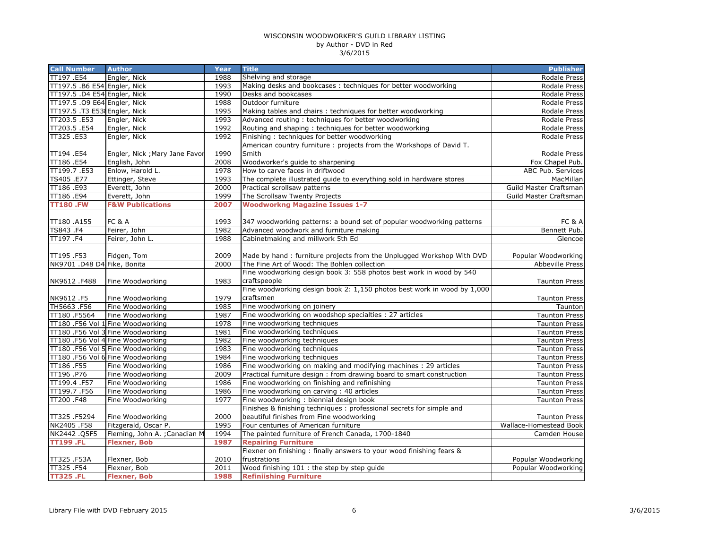| Engler, Nick<br>1988<br>Shelving and storage<br>Rodale Press<br>TT197.5 .B6 E54 Engler, Nick<br>1993<br>Making desks and bookcases : techniques for better woodworking<br>Rodale Press<br>TT197.5 .D4 E54 Engler, Nick<br>Desks and bookcases<br>1990<br>Rodale Press<br>1988<br>TT197.5 .09 E64 Engler, Nick<br>Outdoor furniture<br>Rodale Press<br>TT197.5 .T3 E538 Engler, Nick<br>1995<br>Making tables and chairs : techniques for better woodworking<br>Rodale Press<br>Advanced routing: techniques for better woodworking<br>Engler, Nick<br>1993<br>Rodale Press<br>1992<br>Routing and shaping: techniques for better woodworking<br>Engler, Nick<br>Rodale Press<br>1992<br>Engler, Nick<br>Finishing: techniques for better woodworking<br>Rodale Press<br>American country furniture: projects from the Workshops of David T.<br>1990<br>Smith<br><b>Rodale Press</b><br>Engler, Nick ; Mary Jane Favor<br>2008<br>Woodworker's guide to sharpening<br>English, John<br>Fox Chapel Pub.<br>Enlow, Harold L.<br>1978<br>How to carve faces in driftwood<br>ABC Pub. Services<br>The complete illustrated guide to everything sold in hardware stores<br>Ettinger, Steve<br>1993<br>MacMillan<br>Everett, John<br>2000<br>Practical scrollsaw patterns<br>Guild Master Craftsman<br>Everett, John<br>1999<br>The Scrollsaw Twenty Projects<br>Guild Master Craftsman<br><b>F&amp;W Publications</b><br>2007<br><b>Woodworkng Magazine Issues 1-7</b><br>FC & A<br>1993<br>347 woodworking patterns: a bound set of popular woodworking patterns<br>FC & A<br>1982<br>Bennett Pub.<br>Feirer, John<br>Advanced woodwork and furniture making<br>1988<br>Cabinetmaking and millwork 5th Ed<br>Feirer, John L.<br>Glencoe<br>Fidgen, Tom<br>2009<br>Made by hand: furniture projects from the Unplugged Workshop With DVD<br>Popular Woodworking<br>The Fine Art of Wood: The Bohlen collection<br>NK9701 .D48 D4 Fike, Bonita<br>2000<br><b>Abbeville Press</b><br>Fine woodworking design book 3: 558 photos best work in wood by 540<br>1983<br>craftspeople<br>Fine Woodworking<br><b>Taunton Press</b><br>Fine woodworking design book 2: 1,150 photos best work in wood by 1,000<br>craftsmen<br>Fine Woodworking<br>1979<br><b>Taunton Press</b><br>Fine woodworking on joinery<br>Fine Woodworking<br>1985<br>Taunton<br>Fine woodworking on woodshop specialties : 27 articles<br>Fine Woodworking<br>1987<br><b>Taunton Press</b><br>TT180 .F56 Vol 1 Fine Woodworking<br>1978<br>Fine woodworking techniques<br><b>Taunton Press</b><br>1981<br>TT180 .F56 Vol 3 Fine Woodworking<br>Fine woodworking techniques<br><b>Taunton Press</b><br>TT180 .F56 Vol 4 Fine Woodworking<br>1982<br>Fine woodworking techniques<br><b>Taunton Press</b><br>TT180 .F56 Vol 5 Fine Woodworking<br>1983<br>Fine woodworking techniques<br><b>Taunton Press</b><br>TT180 .F56 Vol 6 Fine Woodworking<br>1984<br>Fine woodworking techniques<br><b>Taunton Press</b><br>Fine Woodworking<br>1986<br>Fine woodworking on making and modifying machines : 29 articles<br><b>Taunton Press</b><br>Fine Woodworking<br>2009<br>Practical furniture design : from drawing board to smart construction<br><b>Taunton Press</b><br>Fine Woodworking<br>1986<br>Fine woodworking on finishing and refinishing<br><b>Taunton Press</b><br>Fine Woodworking<br>1986<br>Fine woodworking on carving: 40 articles<br><b>Taunton Press</b><br>Fine Woodworking<br>1977<br>Fine woodworking: biennial design book<br><b>Taunton Press</b><br>Finishes & finishing techniques : professional secrets for simple and<br>beautiful finishes from Fine woodworking<br>TT325.F5294<br>Fine Woodworking<br>2000<br><b>Taunton Press</b><br>1995<br><b>Wallace-Homestead Book</b><br>Fitzgerald, Oscar P.<br>Four centuries of American furniture<br>1994<br>The painted furniture of French Canada, 1700-1840<br>NK2442.Q5F5<br>Fleming, John A. ; Canadian M<br>Camden House<br><b>Repairing Furniture</b><br><b>TT199.FL</b><br><b>Flexner, Bob</b><br>1987<br>Flexner on finishing: finally answers to your wood finishing fears &<br>frustrations<br>Flexner, Bob<br>2010<br>Popular Woodworking<br>Wood finishing 101 : the step by step guide<br>Flexner, Bob<br>2011<br>Popular Woodworking | <b>Call Number</b> | <b>Author</b>       | Year | <b>Title</b>                  | <b>Publisher</b> |
|------------------------------------------------------------------------------------------------------------------------------------------------------------------------------------------------------------------------------------------------------------------------------------------------------------------------------------------------------------------------------------------------------------------------------------------------------------------------------------------------------------------------------------------------------------------------------------------------------------------------------------------------------------------------------------------------------------------------------------------------------------------------------------------------------------------------------------------------------------------------------------------------------------------------------------------------------------------------------------------------------------------------------------------------------------------------------------------------------------------------------------------------------------------------------------------------------------------------------------------------------------------------------------------------------------------------------------------------------------------------------------------------------------------------------------------------------------------------------------------------------------------------------------------------------------------------------------------------------------------------------------------------------------------------------------------------------------------------------------------------------------------------------------------------------------------------------------------------------------------------------------------------------------------------------------------------------------------------------------------------------------------------------------------------------------------------------------------------------------------------------------------------------------------------------------------------------------------------------------------------------------------------------------------------------------------------------------------------------------------------------------------------------------------------------------------------------------------------------------------------------------------------------------------------------------------------------------------------------------------------------------------------------------------------------------------------------------------------------------------------------------------------------------------------------------------------------------------------------------------------------------------------------------------------------------------------------------------------------------------------------------------------------------------------------------------------------------------------------------------------------------------------------------------------------------------------------------------------------------------------------------------------------------------------------------------------------------------------------------------------------------------------------------------------------------------------------------------------------------------------------------------------------------------------------------------------------------------------------------------------------------------------------------------------------------------------------------------------------------------------------------------------------------------------------------------------------------------------------------------------------------------------------------------------------------------------------------------------------------------------------------------------------------------------------------------------------------------------------------------------------------------------------------------------------------------------------------------------------------------------------------------------------------|--------------------|---------------------|------|-------------------------------|------------------|
|                                                                                                                                                                                                                                                                                                                                                                                                                                                                                                                                                                                                                                                                                                                                                                                                                                                                                                                                                                                                                                                                                                                                                                                                                                                                                                                                                                                                                                                                                                                                                                                                                                                                                                                                                                                                                                                                                                                                                                                                                                                                                                                                                                                                                                                                                                                                                                                                                                                                                                                                                                                                                                                                                                                                                                                                                                                                                                                                                                                                                                                                                                                                                                                                                                                                                                                                                                                                                                                                                                                                                                                                                                                                                                                                                                                                                                                                                                                                                                                                                                                                                                                                                                                                                                                                                    | TT197.E54          |                     |      |                               |                  |
|                                                                                                                                                                                                                                                                                                                                                                                                                                                                                                                                                                                                                                                                                                                                                                                                                                                                                                                                                                                                                                                                                                                                                                                                                                                                                                                                                                                                                                                                                                                                                                                                                                                                                                                                                                                                                                                                                                                                                                                                                                                                                                                                                                                                                                                                                                                                                                                                                                                                                                                                                                                                                                                                                                                                                                                                                                                                                                                                                                                                                                                                                                                                                                                                                                                                                                                                                                                                                                                                                                                                                                                                                                                                                                                                                                                                                                                                                                                                                                                                                                                                                                                                                                                                                                                                                    |                    |                     |      |                               |                  |
|                                                                                                                                                                                                                                                                                                                                                                                                                                                                                                                                                                                                                                                                                                                                                                                                                                                                                                                                                                                                                                                                                                                                                                                                                                                                                                                                                                                                                                                                                                                                                                                                                                                                                                                                                                                                                                                                                                                                                                                                                                                                                                                                                                                                                                                                                                                                                                                                                                                                                                                                                                                                                                                                                                                                                                                                                                                                                                                                                                                                                                                                                                                                                                                                                                                                                                                                                                                                                                                                                                                                                                                                                                                                                                                                                                                                                                                                                                                                                                                                                                                                                                                                                                                                                                                                                    |                    |                     |      |                               |                  |
|                                                                                                                                                                                                                                                                                                                                                                                                                                                                                                                                                                                                                                                                                                                                                                                                                                                                                                                                                                                                                                                                                                                                                                                                                                                                                                                                                                                                                                                                                                                                                                                                                                                                                                                                                                                                                                                                                                                                                                                                                                                                                                                                                                                                                                                                                                                                                                                                                                                                                                                                                                                                                                                                                                                                                                                                                                                                                                                                                                                                                                                                                                                                                                                                                                                                                                                                                                                                                                                                                                                                                                                                                                                                                                                                                                                                                                                                                                                                                                                                                                                                                                                                                                                                                                                                                    |                    |                     |      |                               |                  |
|                                                                                                                                                                                                                                                                                                                                                                                                                                                                                                                                                                                                                                                                                                                                                                                                                                                                                                                                                                                                                                                                                                                                                                                                                                                                                                                                                                                                                                                                                                                                                                                                                                                                                                                                                                                                                                                                                                                                                                                                                                                                                                                                                                                                                                                                                                                                                                                                                                                                                                                                                                                                                                                                                                                                                                                                                                                                                                                                                                                                                                                                                                                                                                                                                                                                                                                                                                                                                                                                                                                                                                                                                                                                                                                                                                                                                                                                                                                                                                                                                                                                                                                                                                                                                                                                                    |                    |                     |      |                               |                  |
|                                                                                                                                                                                                                                                                                                                                                                                                                                                                                                                                                                                                                                                                                                                                                                                                                                                                                                                                                                                                                                                                                                                                                                                                                                                                                                                                                                                                                                                                                                                                                                                                                                                                                                                                                                                                                                                                                                                                                                                                                                                                                                                                                                                                                                                                                                                                                                                                                                                                                                                                                                                                                                                                                                                                                                                                                                                                                                                                                                                                                                                                                                                                                                                                                                                                                                                                                                                                                                                                                                                                                                                                                                                                                                                                                                                                                                                                                                                                                                                                                                                                                                                                                                                                                                                                                    | TT203.5.E53        |                     |      |                               |                  |
|                                                                                                                                                                                                                                                                                                                                                                                                                                                                                                                                                                                                                                                                                                                                                                                                                                                                                                                                                                                                                                                                                                                                                                                                                                                                                                                                                                                                                                                                                                                                                                                                                                                                                                                                                                                                                                                                                                                                                                                                                                                                                                                                                                                                                                                                                                                                                                                                                                                                                                                                                                                                                                                                                                                                                                                                                                                                                                                                                                                                                                                                                                                                                                                                                                                                                                                                                                                                                                                                                                                                                                                                                                                                                                                                                                                                                                                                                                                                                                                                                                                                                                                                                                                                                                                                                    | TT203.5 .E54       |                     |      |                               |                  |
|                                                                                                                                                                                                                                                                                                                                                                                                                                                                                                                                                                                                                                                                                                                                                                                                                                                                                                                                                                                                                                                                                                                                                                                                                                                                                                                                                                                                                                                                                                                                                                                                                                                                                                                                                                                                                                                                                                                                                                                                                                                                                                                                                                                                                                                                                                                                                                                                                                                                                                                                                                                                                                                                                                                                                                                                                                                                                                                                                                                                                                                                                                                                                                                                                                                                                                                                                                                                                                                                                                                                                                                                                                                                                                                                                                                                                                                                                                                                                                                                                                                                                                                                                                                                                                                                                    | TT325.E53          |                     |      |                               |                  |
|                                                                                                                                                                                                                                                                                                                                                                                                                                                                                                                                                                                                                                                                                                                                                                                                                                                                                                                                                                                                                                                                                                                                                                                                                                                                                                                                                                                                                                                                                                                                                                                                                                                                                                                                                                                                                                                                                                                                                                                                                                                                                                                                                                                                                                                                                                                                                                                                                                                                                                                                                                                                                                                                                                                                                                                                                                                                                                                                                                                                                                                                                                                                                                                                                                                                                                                                                                                                                                                                                                                                                                                                                                                                                                                                                                                                                                                                                                                                                                                                                                                                                                                                                                                                                                                                                    |                    |                     |      |                               |                  |
|                                                                                                                                                                                                                                                                                                                                                                                                                                                                                                                                                                                                                                                                                                                                                                                                                                                                                                                                                                                                                                                                                                                                                                                                                                                                                                                                                                                                                                                                                                                                                                                                                                                                                                                                                                                                                                                                                                                                                                                                                                                                                                                                                                                                                                                                                                                                                                                                                                                                                                                                                                                                                                                                                                                                                                                                                                                                                                                                                                                                                                                                                                                                                                                                                                                                                                                                                                                                                                                                                                                                                                                                                                                                                                                                                                                                                                                                                                                                                                                                                                                                                                                                                                                                                                                                                    | TT194 .E54         |                     |      |                               |                  |
|                                                                                                                                                                                                                                                                                                                                                                                                                                                                                                                                                                                                                                                                                                                                                                                                                                                                                                                                                                                                                                                                                                                                                                                                                                                                                                                                                                                                                                                                                                                                                                                                                                                                                                                                                                                                                                                                                                                                                                                                                                                                                                                                                                                                                                                                                                                                                                                                                                                                                                                                                                                                                                                                                                                                                                                                                                                                                                                                                                                                                                                                                                                                                                                                                                                                                                                                                                                                                                                                                                                                                                                                                                                                                                                                                                                                                                                                                                                                                                                                                                                                                                                                                                                                                                                                                    | TT186.E54          |                     |      |                               |                  |
|                                                                                                                                                                                                                                                                                                                                                                                                                                                                                                                                                                                                                                                                                                                                                                                                                                                                                                                                                                                                                                                                                                                                                                                                                                                                                                                                                                                                                                                                                                                                                                                                                                                                                                                                                                                                                                                                                                                                                                                                                                                                                                                                                                                                                                                                                                                                                                                                                                                                                                                                                                                                                                                                                                                                                                                                                                                                                                                                                                                                                                                                                                                                                                                                                                                                                                                                                                                                                                                                                                                                                                                                                                                                                                                                                                                                                                                                                                                                                                                                                                                                                                                                                                                                                                                                                    | TT199.7.E53        |                     |      |                               |                  |
|                                                                                                                                                                                                                                                                                                                                                                                                                                                                                                                                                                                                                                                                                                                                                                                                                                                                                                                                                                                                                                                                                                                                                                                                                                                                                                                                                                                                                                                                                                                                                                                                                                                                                                                                                                                                                                                                                                                                                                                                                                                                                                                                                                                                                                                                                                                                                                                                                                                                                                                                                                                                                                                                                                                                                                                                                                                                                                                                                                                                                                                                                                                                                                                                                                                                                                                                                                                                                                                                                                                                                                                                                                                                                                                                                                                                                                                                                                                                                                                                                                                                                                                                                                                                                                                                                    | TS405 .E77         |                     |      |                               |                  |
|                                                                                                                                                                                                                                                                                                                                                                                                                                                                                                                                                                                                                                                                                                                                                                                                                                                                                                                                                                                                                                                                                                                                                                                                                                                                                                                                                                                                                                                                                                                                                                                                                                                                                                                                                                                                                                                                                                                                                                                                                                                                                                                                                                                                                                                                                                                                                                                                                                                                                                                                                                                                                                                                                                                                                                                                                                                                                                                                                                                                                                                                                                                                                                                                                                                                                                                                                                                                                                                                                                                                                                                                                                                                                                                                                                                                                                                                                                                                                                                                                                                                                                                                                                                                                                                                                    | TT186.E93          |                     |      |                               |                  |
|                                                                                                                                                                                                                                                                                                                                                                                                                                                                                                                                                                                                                                                                                                                                                                                                                                                                                                                                                                                                                                                                                                                                                                                                                                                                                                                                                                                                                                                                                                                                                                                                                                                                                                                                                                                                                                                                                                                                                                                                                                                                                                                                                                                                                                                                                                                                                                                                                                                                                                                                                                                                                                                                                                                                                                                                                                                                                                                                                                                                                                                                                                                                                                                                                                                                                                                                                                                                                                                                                                                                                                                                                                                                                                                                                                                                                                                                                                                                                                                                                                                                                                                                                                                                                                                                                    | TT186.E94          |                     |      |                               |                  |
|                                                                                                                                                                                                                                                                                                                                                                                                                                                                                                                                                                                                                                                                                                                                                                                                                                                                                                                                                                                                                                                                                                                                                                                                                                                                                                                                                                                                                                                                                                                                                                                                                                                                                                                                                                                                                                                                                                                                                                                                                                                                                                                                                                                                                                                                                                                                                                                                                                                                                                                                                                                                                                                                                                                                                                                                                                                                                                                                                                                                                                                                                                                                                                                                                                                                                                                                                                                                                                                                                                                                                                                                                                                                                                                                                                                                                                                                                                                                                                                                                                                                                                                                                                                                                                                                                    | <b>TT180.FW</b>    |                     |      |                               |                  |
|                                                                                                                                                                                                                                                                                                                                                                                                                                                                                                                                                                                                                                                                                                                                                                                                                                                                                                                                                                                                                                                                                                                                                                                                                                                                                                                                                                                                                                                                                                                                                                                                                                                                                                                                                                                                                                                                                                                                                                                                                                                                                                                                                                                                                                                                                                                                                                                                                                                                                                                                                                                                                                                                                                                                                                                                                                                                                                                                                                                                                                                                                                                                                                                                                                                                                                                                                                                                                                                                                                                                                                                                                                                                                                                                                                                                                                                                                                                                                                                                                                                                                                                                                                                                                                                                                    |                    |                     |      |                               |                  |
|                                                                                                                                                                                                                                                                                                                                                                                                                                                                                                                                                                                                                                                                                                                                                                                                                                                                                                                                                                                                                                                                                                                                                                                                                                                                                                                                                                                                                                                                                                                                                                                                                                                                                                                                                                                                                                                                                                                                                                                                                                                                                                                                                                                                                                                                                                                                                                                                                                                                                                                                                                                                                                                                                                                                                                                                                                                                                                                                                                                                                                                                                                                                                                                                                                                                                                                                                                                                                                                                                                                                                                                                                                                                                                                                                                                                                                                                                                                                                                                                                                                                                                                                                                                                                                                                                    | TT180.A155         |                     |      |                               |                  |
|                                                                                                                                                                                                                                                                                                                                                                                                                                                                                                                                                                                                                                                                                                                                                                                                                                                                                                                                                                                                                                                                                                                                                                                                                                                                                                                                                                                                                                                                                                                                                                                                                                                                                                                                                                                                                                                                                                                                                                                                                                                                                                                                                                                                                                                                                                                                                                                                                                                                                                                                                                                                                                                                                                                                                                                                                                                                                                                                                                                                                                                                                                                                                                                                                                                                                                                                                                                                                                                                                                                                                                                                                                                                                                                                                                                                                                                                                                                                                                                                                                                                                                                                                                                                                                                                                    | TS843.F4           |                     |      |                               |                  |
|                                                                                                                                                                                                                                                                                                                                                                                                                                                                                                                                                                                                                                                                                                                                                                                                                                                                                                                                                                                                                                                                                                                                                                                                                                                                                                                                                                                                                                                                                                                                                                                                                                                                                                                                                                                                                                                                                                                                                                                                                                                                                                                                                                                                                                                                                                                                                                                                                                                                                                                                                                                                                                                                                                                                                                                                                                                                                                                                                                                                                                                                                                                                                                                                                                                                                                                                                                                                                                                                                                                                                                                                                                                                                                                                                                                                                                                                                                                                                                                                                                                                                                                                                                                                                                                                                    | TT197.F4           |                     |      |                               |                  |
|                                                                                                                                                                                                                                                                                                                                                                                                                                                                                                                                                                                                                                                                                                                                                                                                                                                                                                                                                                                                                                                                                                                                                                                                                                                                                                                                                                                                                                                                                                                                                                                                                                                                                                                                                                                                                                                                                                                                                                                                                                                                                                                                                                                                                                                                                                                                                                                                                                                                                                                                                                                                                                                                                                                                                                                                                                                                                                                                                                                                                                                                                                                                                                                                                                                                                                                                                                                                                                                                                                                                                                                                                                                                                                                                                                                                                                                                                                                                                                                                                                                                                                                                                                                                                                                                                    |                    |                     |      |                               |                  |
|                                                                                                                                                                                                                                                                                                                                                                                                                                                                                                                                                                                                                                                                                                                                                                                                                                                                                                                                                                                                                                                                                                                                                                                                                                                                                                                                                                                                                                                                                                                                                                                                                                                                                                                                                                                                                                                                                                                                                                                                                                                                                                                                                                                                                                                                                                                                                                                                                                                                                                                                                                                                                                                                                                                                                                                                                                                                                                                                                                                                                                                                                                                                                                                                                                                                                                                                                                                                                                                                                                                                                                                                                                                                                                                                                                                                                                                                                                                                                                                                                                                                                                                                                                                                                                                                                    | TT195.F53          |                     |      |                               |                  |
|                                                                                                                                                                                                                                                                                                                                                                                                                                                                                                                                                                                                                                                                                                                                                                                                                                                                                                                                                                                                                                                                                                                                                                                                                                                                                                                                                                                                                                                                                                                                                                                                                                                                                                                                                                                                                                                                                                                                                                                                                                                                                                                                                                                                                                                                                                                                                                                                                                                                                                                                                                                                                                                                                                                                                                                                                                                                                                                                                                                                                                                                                                                                                                                                                                                                                                                                                                                                                                                                                                                                                                                                                                                                                                                                                                                                                                                                                                                                                                                                                                                                                                                                                                                                                                                                                    |                    |                     |      |                               |                  |
|                                                                                                                                                                                                                                                                                                                                                                                                                                                                                                                                                                                                                                                                                                                                                                                                                                                                                                                                                                                                                                                                                                                                                                                                                                                                                                                                                                                                                                                                                                                                                                                                                                                                                                                                                                                                                                                                                                                                                                                                                                                                                                                                                                                                                                                                                                                                                                                                                                                                                                                                                                                                                                                                                                                                                                                                                                                                                                                                                                                                                                                                                                                                                                                                                                                                                                                                                                                                                                                                                                                                                                                                                                                                                                                                                                                                                                                                                                                                                                                                                                                                                                                                                                                                                                                                                    |                    |                     |      |                               |                  |
|                                                                                                                                                                                                                                                                                                                                                                                                                                                                                                                                                                                                                                                                                                                                                                                                                                                                                                                                                                                                                                                                                                                                                                                                                                                                                                                                                                                                                                                                                                                                                                                                                                                                                                                                                                                                                                                                                                                                                                                                                                                                                                                                                                                                                                                                                                                                                                                                                                                                                                                                                                                                                                                                                                                                                                                                                                                                                                                                                                                                                                                                                                                                                                                                                                                                                                                                                                                                                                                                                                                                                                                                                                                                                                                                                                                                                                                                                                                                                                                                                                                                                                                                                                                                                                                                                    | NK9612.F488        |                     |      |                               |                  |
|                                                                                                                                                                                                                                                                                                                                                                                                                                                                                                                                                                                                                                                                                                                                                                                                                                                                                                                                                                                                                                                                                                                                                                                                                                                                                                                                                                                                                                                                                                                                                                                                                                                                                                                                                                                                                                                                                                                                                                                                                                                                                                                                                                                                                                                                                                                                                                                                                                                                                                                                                                                                                                                                                                                                                                                                                                                                                                                                                                                                                                                                                                                                                                                                                                                                                                                                                                                                                                                                                                                                                                                                                                                                                                                                                                                                                                                                                                                                                                                                                                                                                                                                                                                                                                                                                    |                    |                     |      |                               |                  |
|                                                                                                                                                                                                                                                                                                                                                                                                                                                                                                                                                                                                                                                                                                                                                                                                                                                                                                                                                                                                                                                                                                                                                                                                                                                                                                                                                                                                                                                                                                                                                                                                                                                                                                                                                                                                                                                                                                                                                                                                                                                                                                                                                                                                                                                                                                                                                                                                                                                                                                                                                                                                                                                                                                                                                                                                                                                                                                                                                                                                                                                                                                                                                                                                                                                                                                                                                                                                                                                                                                                                                                                                                                                                                                                                                                                                                                                                                                                                                                                                                                                                                                                                                                                                                                                                                    | NK9612.F5          |                     |      |                               |                  |
|                                                                                                                                                                                                                                                                                                                                                                                                                                                                                                                                                                                                                                                                                                                                                                                                                                                                                                                                                                                                                                                                                                                                                                                                                                                                                                                                                                                                                                                                                                                                                                                                                                                                                                                                                                                                                                                                                                                                                                                                                                                                                                                                                                                                                                                                                                                                                                                                                                                                                                                                                                                                                                                                                                                                                                                                                                                                                                                                                                                                                                                                                                                                                                                                                                                                                                                                                                                                                                                                                                                                                                                                                                                                                                                                                                                                                                                                                                                                                                                                                                                                                                                                                                                                                                                                                    | TH5663.F56         |                     |      |                               |                  |
|                                                                                                                                                                                                                                                                                                                                                                                                                                                                                                                                                                                                                                                                                                                                                                                                                                                                                                                                                                                                                                                                                                                                                                                                                                                                                                                                                                                                                                                                                                                                                                                                                                                                                                                                                                                                                                                                                                                                                                                                                                                                                                                                                                                                                                                                                                                                                                                                                                                                                                                                                                                                                                                                                                                                                                                                                                                                                                                                                                                                                                                                                                                                                                                                                                                                                                                                                                                                                                                                                                                                                                                                                                                                                                                                                                                                                                                                                                                                                                                                                                                                                                                                                                                                                                                                                    | TT180 .F5564       |                     |      |                               |                  |
|                                                                                                                                                                                                                                                                                                                                                                                                                                                                                                                                                                                                                                                                                                                                                                                                                                                                                                                                                                                                                                                                                                                                                                                                                                                                                                                                                                                                                                                                                                                                                                                                                                                                                                                                                                                                                                                                                                                                                                                                                                                                                                                                                                                                                                                                                                                                                                                                                                                                                                                                                                                                                                                                                                                                                                                                                                                                                                                                                                                                                                                                                                                                                                                                                                                                                                                                                                                                                                                                                                                                                                                                                                                                                                                                                                                                                                                                                                                                                                                                                                                                                                                                                                                                                                                                                    |                    |                     |      |                               |                  |
|                                                                                                                                                                                                                                                                                                                                                                                                                                                                                                                                                                                                                                                                                                                                                                                                                                                                                                                                                                                                                                                                                                                                                                                                                                                                                                                                                                                                                                                                                                                                                                                                                                                                                                                                                                                                                                                                                                                                                                                                                                                                                                                                                                                                                                                                                                                                                                                                                                                                                                                                                                                                                                                                                                                                                                                                                                                                                                                                                                                                                                                                                                                                                                                                                                                                                                                                                                                                                                                                                                                                                                                                                                                                                                                                                                                                                                                                                                                                                                                                                                                                                                                                                                                                                                                                                    |                    |                     |      |                               |                  |
|                                                                                                                                                                                                                                                                                                                                                                                                                                                                                                                                                                                                                                                                                                                                                                                                                                                                                                                                                                                                                                                                                                                                                                                                                                                                                                                                                                                                                                                                                                                                                                                                                                                                                                                                                                                                                                                                                                                                                                                                                                                                                                                                                                                                                                                                                                                                                                                                                                                                                                                                                                                                                                                                                                                                                                                                                                                                                                                                                                                                                                                                                                                                                                                                                                                                                                                                                                                                                                                                                                                                                                                                                                                                                                                                                                                                                                                                                                                                                                                                                                                                                                                                                                                                                                                                                    |                    |                     |      |                               |                  |
|                                                                                                                                                                                                                                                                                                                                                                                                                                                                                                                                                                                                                                                                                                                                                                                                                                                                                                                                                                                                                                                                                                                                                                                                                                                                                                                                                                                                                                                                                                                                                                                                                                                                                                                                                                                                                                                                                                                                                                                                                                                                                                                                                                                                                                                                                                                                                                                                                                                                                                                                                                                                                                                                                                                                                                                                                                                                                                                                                                                                                                                                                                                                                                                                                                                                                                                                                                                                                                                                                                                                                                                                                                                                                                                                                                                                                                                                                                                                                                                                                                                                                                                                                                                                                                                                                    |                    |                     |      |                               |                  |
|                                                                                                                                                                                                                                                                                                                                                                                                                                                                                                                                                                                                                                                                                                                                                                                                                                                                                                                                                                                                                                                                                                                                                                                                                                                                                                                                                                                                                                                                                                                                                                                                                                                                                                                                                                                                                                                                                                                                                                                                                                                                                                                                                                                                                                                                                                                                                                                                                                                                                                                                                                                                                                                                                                                                                                                                                                                                                                                                                                                                                                                                                                                                                                                                                                                                                                                                                                                                                                                                                                                                                                                                                                                                                                                                                                                                                                                                                                                                                                                                                                                                                                                                                                                                                                                                                    |                    |                     |      |                               |                  |
|                                                                                                                                                                                                                                                                                                                                                                                                                                                                                                                                                                                                                                                                                                                                                                                                                                                                                                                                                                                                                                                                                                                                                                                                                                                                                                                                                                                                                                                                                                                                                                                                                                                                                                                                                                                                                                                                                                                                                                                                                                                                                                                                                                                                                                                                                                                                                                                                                                                                                                                                                                                                                                                                                                                                                                                                                                                                                                                                                                                                                                                                                                                                                                                                                                                                                                                                                                                                                                                                                                                                                                                                                                                                                                                                                                                                                                                                                                                                                                                                                                                                                                                                                                                                                                                                                    | TT186.F55          |                     |      |                               |                  |
|                                                                                                                                                                                                                                                                                                                                                                                                                                                                                                                                                                                                                                                                                                                                                                                                                                                                                                                                                                                                                                                                                                                                                                                                                                                                                                                                                                                                                                                                                                                                                                                                                                                                                                                                                                                                                                                                                                                                                                                                                                                                                                                                                                                                                                                                                                                                                                                                                                                                                                                                                                                                                                                                                                                                                                                                                                                                                                                                                                                                                                                                                                                                                                                                                                                                                                                                                                                                                                                                                                                                                                                                                                                                                                                                                                                                                                                                                                                                                                                                                                                                                                                                                                                                                                                                                    | TT196.P76          |                     |      |                               |                  |
|                                                                                                                                                                                                                                                                                                                                                                                                                                                                                                                                                                                                                                                                                                                                                                                                                                                                                                                                                                                                                                                                                                                                                                                                                                                                                                                                                                                                                                                                                                                                                                                                                                                                                                                                                                                                                                                                                                                                                                                                                                                                                                                                                                                                                                                                                                                                                                                                                                                                                                                                                                                                                                                                                                                                                                                                                                                                                                                                                                                                                                                                                                                                                                                                                                                                                                                                                                                                                                                                                                                                                                                                                                                                                                                                                                                                                                                                                                                                                                                                                                                                                                                                                                                                                                                                                    | TT199.4 .F57       |                     |      |                               |                  |
|                                                                                                                                                                                                                                                                                                                                                                                                                                                                                                                                                                                                                                                                                                                                                                                                                                                                                                                                                                                                                                                                                                                                                                                                                                                                                                                                                                                                                                                                                                                                                                                                                                                                                                                                                                                                                                                                                                                                                                                                                                                                                                                                                                                                                                                                                                                                                                                                                                                                                                                                                                                                                                                                                                                                                                                                                                                                                                                                                                                                                                                                                                                                                                                                                                                                                                                                                                                                                                                                                                                                                                                                                                                                                                                                                                                                                                                                                                                                                                                                                                                                                                                                                                                                                                                                                    | TT199.7.F56        |                     |      |                               |                  |
|                                                                                                                                                                                                                                                                                                                                                                                                                                                                                                                                                                                                                                                                                                                                                                                                                                                                                                                                                                                                                                                                                                                                                                                                                                                                                                                                                                                                                                                                                                                                                                                                                                                                                                                                                                                                                                                                                                                                                                                                                                                                                                                                                                                                                                                                                                                                                                                                                                                                                                                                                                                                                                                                                                                                                                                                                                                                                                                                                                                                                                                                                                                                                                                                                                                                                                                                                                                                                                                                                                                                                                                                                                                                                                                                                                                                                                                                                                                                                                                                                                                                                                                                                                                                                                                                                    | TT200.F48          |                     |      |                               |                  |
|                                                                                                                                                                                                                                                                                                                                                                                                                                                                                                                                                                                                                                                                                                                                                                                                                                                                                                                                                                                                                                                                                                                                                                                                                                                                                                                                                                                                                                                                                                                                                                                                                                                                                                                                                                                                                                                                                                                                                                                                                                                                                                                                                                                                                                                                                                                                                                                                                                                                                                                                                                                                                                                                                                                                                                                                                                                                                                                                                                                                                                                                                                                                                                                                                                                                                                                                                                                                                                                                                                                                                                                                                                                                                                                                                                                                                                                                                                                                                                                                                                                                                                                                                                                                                                                                                    |                    |                     |      |                               |                  |
|                                                                                                                                                                                                                                                                                                                                                                                                                                                                                                                                                                                                                                                                                                                                                                                                                                                                                                                                                                                                                                                                                                                                                                                                                                                                                                                                                                                                                                                                                                                                                                                                                                                                                                                                                                                                                                                                                                                                                                                                                                                                                                                                                                                                                                                                                                                                                                                                                                                                                                                                                                                                                                                                                                                                                                                                                                                                                                                                                                                                                                                                                                                                                                                                                                                                                                                                                                                                                                                                                                                                                                                                                                                                                                                                                                                                                                                                                                                                                                                                                                                                                                                                                                                                                                                                                    |                    |                     |      |                               |                  |
|                                                                                                                                                                                                                                                                                                                                                                                                                                                                                                                                                                                                                                                                                                                                                                                                                                                                                                                                                                                                                                                                                                                                                                                                                                                                                                                                                                                                                                                                                                                                                                                                                                                                                                                                                                                                                                                                                                                                                                                                                                                                                                                                                                                                                                                                                                                                                                                                                                                                                                                                                                                                                                                                                                                                                                                                                                                                                                                                                                                                                                                                                                                                                                                                                                                                                                                                                                                                                                                                                                                                                                                                                                                                                                                                                                                                                                                                                                                                                                                                                                                                                                                                                                                                                                                                                    | NK2405.F58         |                     |      |                               |                  |
|                                                                                                                                                                                                                                                                                                                                                                                                                                                                                                                                                                                                                                                                                                                                                                                                                                                                                                                                                                                                                                                                                                                                                                                                                                                                                                                                                                                                                                                                                                                                                                                                                                                                                                                                                                                                                                                                                                                                                                                                                                                                                                                                                                                                                                                                                                                                                                                                                                                                                                                                                                                                                                                                                                                                                                                                                                                                                                                                                                                                                                                                                                                                                                                                                                                                                                                                                                                                                                                                                                                                                                                                                                                                                                                                                                                                                                                                                                                                                                                                                                                                                                                                                                                                                                                                                    |                    |                     |      |                               |                  |
|                                                                                                                                                                                                                                                                                                                                                                                                                                                                                                                                                                                                                                                                                                                                                                                                                                                                                                                                                                                                                                                                                                                                                                                                                                                                                                                                                                                                                                                                                                                                                                                                                                                                                                                                                                                                                                                                                                                                                                                                                                                                                                                                                                                                                                                                                                                                                                                                                                                                                                                                                                                                                                                                                                                                                                                                                                                                                                                                                                                                                                                                                                                                                                                                                                                                                                                                                                                                                                                                                                                                                                                                                                                                                                                                                                                                                                                                                                                                                                                                                                                                                                                                                                                                                                                                                    |                    |                     |      |                               |                  |
|                                                                                                                                                                                                                                                                                                                                                                                                                                                                                                                                                                                                                                                                                                                                                                                                                                                                                                                                                                                                                                                                                                                                                                                                                                                                                                                                                                                                                                                                                                                                                                                                                                                                                                                                                                                                                                                                                                                                                                                                                                                                                                                                                                                                                                                                                                                                                                                                                                                                                                                                                                                                                                                                                                                                                                                                                                                                                                                                                                                                                                                                                                                                                                                                                                                                                                                                                                                                                                                                                                                                                                                                                                                                                                                                                                                                                                                                                                                                                                                                                                                                                                                                                                                                                                                                                    |                    |                     |      |                               |                  |
|                                                                                                                                                                                                                                                                                                                                                                                                                                                                                                                                                                                                                                                                                                                                                                                                                                                                                                                                                                                                                                                                                                                                                                                                                                                                                                                                                                                                                                                                                                                                                                                                                                                                                                                                                                                                                                                                                                                                                                                                                                                                                                                                                                                                                                                                                                                                                                                                                                                                                                                                                                                                                                                                                                                                                                                                                                                                                                                                                                                                                                                                                                                                                                                                                                                                                                                                                                                                                                                                                                                                                                                                                                                                                                                                                                                                                                                                                                                                                                                                                                                                                                                                                                                                                                                                                    | TT325.F53A         |                     |      |                               |                  |
|                                                                                                                                                                                                                                                                                                                                                                                                                                                                                                                                                                                                                                                                                                                                                                                                                                                                                                                                                                                                                                                                                                                                                                                                                                                                                                                                                                                                                                                                                                                                                                                                                                                                                                                                                                                                                                                                                                                                                                                                                                                                                                                                                                                                                                                                                                                                                                                                                                                                                                                                                                                                                                                                                                                                                                                                                                                                                                                                                                                                                                                                                                                                                                                                                                                                                                                                                                                                                                                                                                                                                                                                                                                                                                                                                                                                                                                                                                                                                                                                                                                                                                                                                                                                                                                                                    | TT325.F54          |                     |      |                               |                  |
|                                                                                                                                                                                                                                                                                                                                                                                                                                                                                                                                                                                                                                                                                                                                                                                                                                                                                                                                                                                                                                                                                                                                                                                                                                                                                                                                                                                                                                                                                                                                                                                                                                                                                                                                                                                                                                                                                                                                                                                                                                                                                                                                                                                                                                                                                                                                                                                                                                                                                                                                                                                                                                                                                                                                                                                                                                                                                                                                                                                                                                                                                                                                                                                                                                                                                                                                                                                                                                                                                                                                                                                                                                                                                                                                                                                                                                                                                                                                                                                                                                                                                                                                                                                                                                                                                    | <b>TT325.FL</b>    | <b>Flexner, Bob</b> | 1988 | <b>Refiniishing Furniture</b> |                  |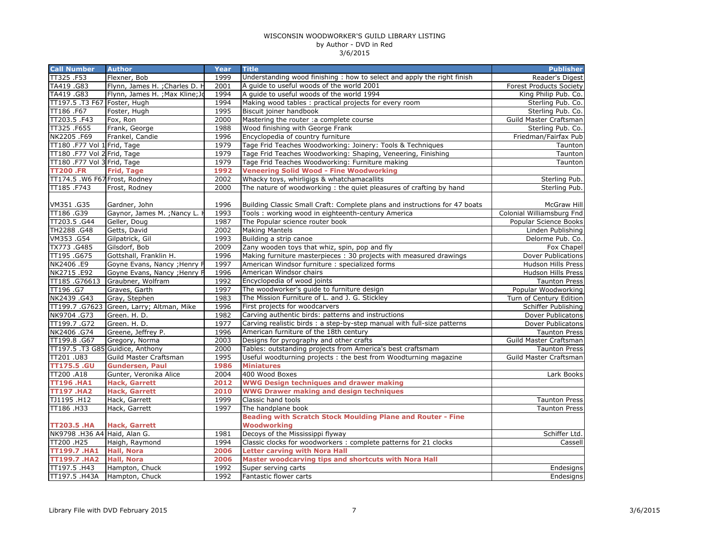| <b>Call Number</b>               | <b>Author</b>                             | Year | <b>Title</b>                                                               | <b>Publisher</b>               |
|----------------------------------|-------------------------------------------|------|----------------------------------------------------------------------------|--------------------------------|
| TT325.F53                        | Flexner, Bob                              | 1999 | Understanding wood finishing: how to select and apply the right finish     | Reader's Digest                |
| TA419.G83                        | Flynn, James H. ; Charles D. H            | 2001 | A quide to useful woods of the world 2001                                  | <b>Forest Products Society</b> |
| TA419 .G83                       | Flynn, James H. ; Max Kline; Jo           | 1994 | A quide to useful woods of the world 1994                                  | King Philip Pub. Co.           |
| TT197.5 .T3 F67 Foster, Hugh     |                                           | 1994 | Making wood tables: practical projects for every room                      | Sterling Pub. Co.              |
| TT186 .F67                       | Foster, Hugh                              | 1995 | Biscuit joiner handbook                                                    | Sterling Pub. Co.              |
| TT203.5 .F43                     | Fox, Ron                                  | 2000 | Mastering the router : a complete course                                   | Guild Master Craftsman         |
| TT325.F655                       | Frank, George                             | 1988 | Wood finishing with George Frank                                           | Sterling Pub. Co.              |
| NK2205.F69                       | Frankel, Candie                           | 1996 | Encyclopedia of country furniture                                          | Friedman/Fairfax Pub           |
| TT180 .F77 Vol 1 Frid, Tage      |                                           | 1979 | Tage Frid Teaches Woodworking: Joinery: Tools & Techniques                 | Taunton                        |
| TT180 .F77 Vol 2 Frid, Tage      |                                           | 1979 | Tage Frid Teaches Woodworking: Shaping, Veneering, Finishing               | Taunton                        |
| TT180 .F77 Vol 3 Frid, Tage      |                                           | 1979 | Tage Frid Teaches Woodworking: Furniture making                            | Taunton                        |
| <b>TT200.FR</b>                  | <b>Frid, Tage</b>                         | 1992 | <b>Veneering Solid Wood - Fine Woodworking</b>                             |                                |
| TT174.5 .W6 F67 Frost, Rodney    |                                           | 2002 | Whacky toys, whirligigs & whatchamacallits                                 | Sterling Pub.                  |
| TT185.F743                       | Frost, Rodney                             | 2000 | The nature of woodworking: the quiet pleasures of crafting by hand         | Sterling Pub.                  |
|                                  |                                           |      |                                                                            |                                |
| VM351.G35                        | Gardner, John                             | 1996 | Building Classic Small Craft: Complete plans and instructions for 47 boats | McGraw Hill                    |
| TT186.G39                        | Gaynor, James M. ; Nancy L. I             | 1993 | Tools: working wood in eighteenth-century America                          | Colonial Williamsburg Fnd      |
| TT203.5 .G44                     | Geller, Doug                              | 1987 | The Popular science router book                                            | Popular Science Books          |
| TH2288.G48                       | Getts, David                              | 2002 | <b>Making Mantels</b>                                                      | Linden Publishing              |
| VM353.G54                        | Gilpatrick, Gil                           | 1993 | Building a strip canoe                                                     | Delorme Pub. Co.               |
| TX773.G485                       | Gilsdorf, Bob                             | 2009 | Zany wooden toys that whiz, spin, pop and fly                              | Fox Chapel                     |
| TT195.G675                       | Gottshall, Franklin H.                    | 1996 | Making furniture masterpieces: 30 projects with measured drawings          | Dover Publications             |
| NK2406.E9                        | Goyne Evans, Nancy ; Henry F              | 1997 | American Windsor furniture : specialized forms                             | Hudson Hills Press             |
| NK2715.E92                       | Goyne Evans, Nancy ; Henry F              | 1996 | American Windsor chairs                                                    | Hudson Hills Press             |
| TT185.G76613                     | Graubner, Wolfram                         | 1992 | Encyclopedia of wood joints                                                | <b>Taunton Press</b>           |
| TT196 .G7                        | Graves, Garth                             | 1997 | The woodworker's quide to furniture design                                 | Popular Woodworking            |
| NK2439.G43                       | Gray, Stephen                             | 1983 | The Mission Furniture of L. and J. G. Stickley                             | Turn of Century Edition        |
|                                  | TT199.7 .G7623 Green, Larry; Altman, Mike | 1996 | First projects for woodcarvers                                             | Schiffer Publishing            |
| NK9704.G73                       | Green. H. D.                              | 1982 | Carving authentic birds: patterns and instructions                         | Dover Publicatons              |
| TT199.7.G72                      | Green. H. D.                              | 1977 | Carving realistic birds : a step-by-step manual with full-size patterns    | Dover Publicatons              |
| NK2406 .G74                      | Greene, Jeffrey P.                        | 1996 | American furniture of the 18th century                                     | <b>Taunton Press</b>           |
| TT199.8.G67                      | Gregory, Norma                            | 2003 | Designs for pyrography and other crafts                                    | Guild Master Craftsman         |
| TT197.5 .T3 G85 Guidice, Anthony |                                           | 2000 | Tables: outstanding projects from America's best craftsmam                 | <b>Taunton Press</b>           |
| TT201 .U83                       | Guild Master Craftsman                    | 1995 | Useful woodturning projects: the best from Woodturning magazine            | Guild Master Craftsman         |
| <b>TT175.5 .GU</b>               | <b>Gundersen, Paul</b>                    | 1986 | <b>Miniatures</b>                                                          |                                |
| TT200 .A18                       | Gunter, Veronika Alice                    | 2004 | 400 Wood Boxes                                                             | Lark Books                     |
| <b>TT196.HA1</b>                 | <b>Hack, Garrett</b>                      | 2012 | <b>WWG Design techniques and drawer making</b>                             |                                |
| <b>TT197.HA2</b>                 | <b>Hack, Garrett</b>                      | 2010 | <b>WWG Drawer making and design techniques</b>                             |                                |
| TJ1195.H12                       | Hack, Garrett                             | 1999 | Classic hand tools                                                         | <b>Taunton Press</b>           |
| TT186.H33                        | Hack, Garrett                             | 1997 | The handplane book                                                         | <b>Taunton Press</b>           |
|                                  |                                           |      | Beading with Scratch Stock Moulding Plane and Router - Fine                |                                |
| <b>TT203.5 .HA</b>               | <b>Hack, Garrett</b>                      |      | <b>Woodworking</b>                                                         |                                |
| NK9798 .H36 A4 Haid, Alan G.     |                                           | 1981 | Decoys of the Mississippi flyway                                           | Schiffer Ltd.                  |
| TT200 .H25                       | Haigh, Raymond                            | 1994 | Classic clocks for woodworkers : complete patterns for 21 clocks           | Cassell                        |
| <b>TT199.7 .HA1</b>              | <b>Hall, Nora</b>                         | 2006 | <b>Letter carving with Nora Hall</b>                                       |                                |
| <b>TT199.7 .HA2</b>              | <b>Hall, Nora</b>                         | 2006 | Master woodcarving tips and shortcuts with Nora Hall                       |                                |
| TT197.5 .H43                     | Hampton, Chuck                            | 1992 | Super serving carts                                                        | Endesigns                      |
| TT197.5 .H43A                    | Hampton, Chuck                            | 1992 | Fantastic flower carts                                                     | <b>Endesigns</b>               |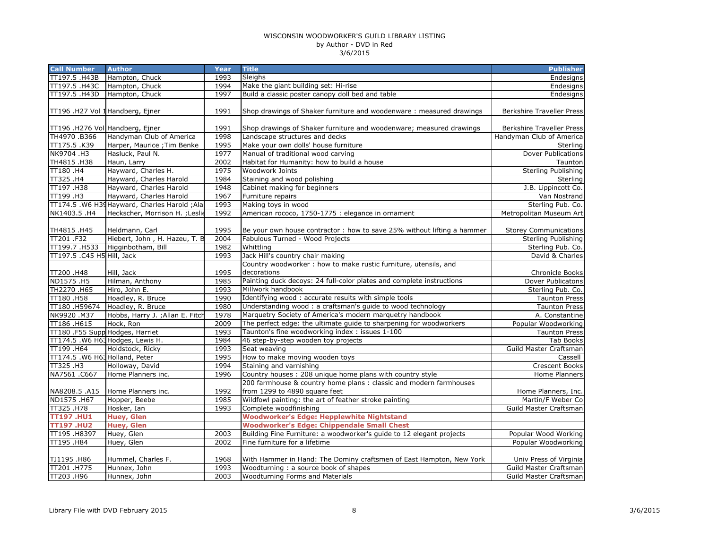| <b>Call Number</b>              | <b>Author</b>                                   | Year         | <b>Title</b>                                                                                              | <b>Publisher</b>                     |
|---------------------------------|-------------------------------------------------|--------------|-----------------------------------------------------------------------------------------------------------|--------------------------------------|
| TT197.5 .H43B                   | Hampton, Chuck                                  | 1993         | Sleighs                                                                                                   | Endesigns                            |
| TT197.5 .H43C                   | Hampton, Chuck                                  | 1994         | Make the giant building set: Hi-rise                                                                      | Endesigns                            |
| TT197.5 .H43D                   | Hampton, Chuck                                  | 1997         | Build a classic poster canopy doll bed and table                                                          | Endesigns                            |
|                                 |                                                 |              |                                                                                                           |                                      |
| TT196 .H27 Vol 1Handberg, Ejner |                                                 | 1991         | Shop drawings of Shaker furniture and woodenware: measured drawings                                       | <b>Berkshire Traveller Press</b>     |
|                                 |                                                 |              |                                                                                                           |                                      |
| TT196 .H276 Vol Handberg, Ejner |                                                 | 1991         | Shop drawings of Shaker furniture and woodenware; measured drawings                                       | <b>Berkshire Traveller Press</b>     |
| TH4970.B366                     | Handyman Club of America                        | 1998         | Landscape structures and decks                                                                            | Handyman Club of America             |
| TT175.5 .K39                    | Harper, Maurice ; Tim Benke                     | 1995         | Make your own dolls' house furniture                                                                      | Sterling                             |
| NK9704.H3                       | Hasluck, Paul N.                                | 1977         | Manual of traditional wood carving                                                                        | Dover Publications                   |
| TH4815.H38                      | Haun, Larry                                     | 2002         | Habitat for Humanity: how to build a house                                                                | Taunton                              |
| TT180.H4                        | Hayward, Charles H.                             | 1975         | Woodwork Joints                                                                                           | <b>Sterling Publishing</b>           |
| TT325 .H4                       | Hayward, Charles Harold                         | 1984         | Staining and wood polishing                                                                               | Sterling                             |
| TT197.H38                       | Hayward, Charles Harold                         | 1948         | Cabinet making for beginners                                                                              | J.B. Lippincott Co.                  |
| TT199 .H3                       | Hayward, Charles Harold                         | 1967         | Furniture repairs                                                                                         | Van Nostrand                         |
|                                 | TT174.5 .W6 H39Hayward, Charles Harold ; Ala    | 1993         | Making toys in wood                                                                                       | Sterling Pub. Co.                    |
| NK1403.5.H4                     | Heckscher, Morrison H. ; Leslie                 | 1992         | American rococo, 1750-1775 : elegance in ornament                                                         | Metropolitan Museum Art              |
|                                 |                                                 |              |                                                                                                           |                                      |
| TH4815.H45<br>TT201 .F32        | Heldmann, Carl<br>Hiebert, John, H. Hazeu, T. B | 1995<br>2004 | Be your own house contractor: how to save 25% without lifting a hammer<br>Fabulous Turned - Wood Projects | <b>Storey Communications</b>         |
| TT199.7.H533                    | Higginbotham, Bill                              | 1982         | Whittling                                                                                                 | Sterling Publishing                  |
| TT197.5 .C45 H5 Hill, Jack      |                                                 | 1993         | Jack Hill's country chair making                                                                          | Sterling Pub. Co.<br>David & Charles |
|                                 |                                                 |              | Country woodworker: how to make rustic furniture, utensils, and                                           |                                      |
| TT200.H48                       | Hill, Jack                                      | 1995         | decorations                                                                                               | <b>Chronicle Books</b>               |
| ND1575 .H5                      | Hilman, Anthony                                 | 1985         | Painting duck decoys: 24 full-color plates and complete instructions                                      | Dover Publicatons                    |
| TH2270 .H65                     | Hiro, John E.                                   | 1993         | Millwork handbook                                                                                         | Sterling Pub. Co.                    |
| TT180.H58                       | Hoadley, R. Bruce                               | 1990         | Identifying wood: accurate results with simple tools                                                      | <b>Taunton Press</b>                 |
| TT180 .H59674                   | Hoadley, R. Bruce                               | 1980         | Understanding wood: a craftsman's guide to wood technology                                                | <b>Taunton Press</b>                 |
| NK9920.M37                      | Hobbs, Harry J. ; Allan E. Fitch                | 1978         | Marquetry Society of America's modern marquetry handbook                                                  | A. Constantine                       |
| TT186 .H615                     | Hock, Ron                                       | 2009         | The perfect edge: the ultimate guide to sharpening for woodworkers                                        | Popular Woodworking                  |
| TT180 .F55 Supp Hodges, Harriet |                                                 | 1993         | Taunton's fine woodworking index: issues 1-100                                                            | <b>Taunton Press</b>                 |
|                                 | TT174.5 .W6 H63 Hodges, Lewis H.                | 1984         | 46 step-by-step wooden toy projects                                                                       | <b>Tab Books</b>                     |
| TT199 .H64                      | Holdstock, Ricky                                | 1993         | Seat weaving                                                                                              | Guild Master Craftsman               |
| TT174.5 .W6 H63Holland, Peter   |                                                 | 1995         | How to make moving wooden toys                                                                            | Cassell                              |
| TT325.H3                        | Holloway, David                                 | 1994         | Staining and varnishing                                                                                   | <b>Crescent Books</b>                |
| NA7561.C667                     | Home Planners inc.                              | 1996         | Country houses: 208 unique home plans with country style                                                  | <b>Home Planners</b>                 |
|                                 |                                                 |              | 200 farmhouse & country home plans : classic and modern farmhouses                                        |                                      |
| NA8208.5 .A15                   | Home Planners inc.                              | 1992         | from 1299 to 4890 square feet                                                                             | Home Planners, Inc.                  |
| ND1575.H67                      | Hopper, Beebe                                   | 1985         | Wildfowl painting: the art of feather stroke painting                                                     | Martin/F Weber Co                    |
| TT325.H78                       | Hosker, Ian                                     | 1993         | Complete woodfinishing                                                                                    | Guild Master Craftsman               |
| <b>TT197.HU1</b>                | <b>Huey, Glen</b>                               |              | <b>Woodworker's Edge: Hepplewhite Nightstand</b>                                                          |                                      |
| <b>TT197.HU2</b>                | <b>Huey, Glen</b>                               |              | <b>Woodworker's Edge: Chippendale Small Chest</b>                                                         |                                      |
| TT195 .H8397                    | Huey, Glen                                      | 2003         | Building Fine Furniture: a woodworker's guide to 12 elegant projects                                      | Popular Wood Working                 |
| TT195.H84                       | Huey, Glen                                      | 2002         | Fine furniture for a lifetime                                                                             | Popular Woodworking                  |
|                                 |                                                 |              |                                                                                                           |                                      |
| TJ1195.H86                      | Hummel, Charles F.                              | 1968         | With Hammer in Hand: The Dominy craftsmen of East Hampton, New York                                       | Univ Press of Virginia               |
| TT201 .H775                     | Hunnex, John                                    | 1993         | Woodturning: a source book of shapes                                                                      | Guild Master Craftsman               |
| TT203 .H96                      | Hunnex, John                                    | 2003         | <b>Woodturning Forms and Materials</b>                                                                    | Guild Master Craftsman               |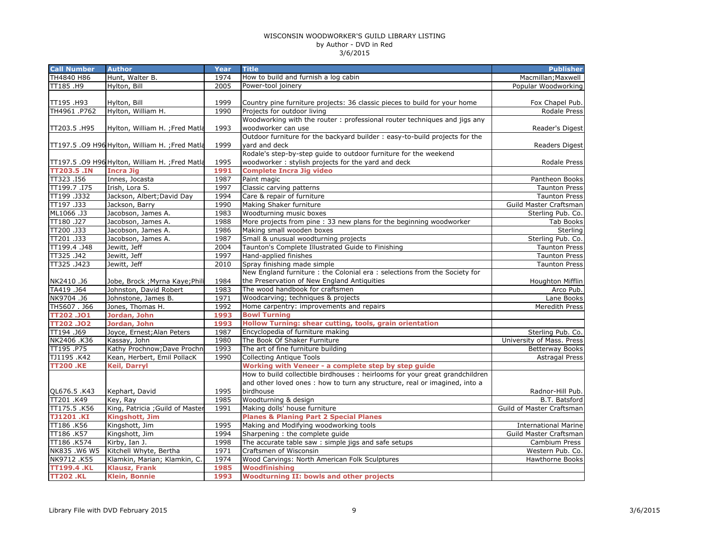| <b>Call Number</b> | <b>Author</b>                                   | Year | <b>Title</b>                                                                 | <b>Publisher</b>            |
|--------------------|-------------------------------------------------|------|------------------------------------------------------------------------------|-----------------------------|
| TH4840 H86         | Hunt, Walter B.                                 | 1974 | How to build and furnish a log cabin                                         | Macmillan; Maxwell          |
| TT185.H9           | Hylton, Bill                                    | 2005 | Power-tool joinery                                                           | Popular Woodworking         |
|                    |                                                 |      |                                                                              |                             |
| TT195.H93          | Hylton, Bill                                    | 1999 | Country pine furniture projects: 36 classic pieces to build for your home    | Fox Chapel Pub.             |
| TH4961.P762        | Hylton, William H.                              | 1990 | Projects for outdoor living                                                  | <b>Rodale Press</b>         |
|                    |                                                 |      | Woodworking with the router : professional router techniques and jigs any    |                             |
| TT203.5 .H95       | Hylton, William H. ; Fred Matla                 | 1993 | woodworker can use                                                           | Reader's Digest             |
|                    |                                                 |      | Outdoor furniture for the backyard builder : easy-to-build projects for the  |                             |
|                    | TT197.5 .09 H96 Hylton, William H. ;Fred Matla  | 1999 | yard and deck                                                                | Readers Digest              |
|                    |                                                 |      | Rodale's step-by-step guide to outdoor furniture for the weekend             |                             |
|                    | TT197.5 .09 H96 Hylton, William H. ; Fred Matla | 1995 | woodworker: stylish projects for the yard and deck                           | Rodale Press                |
| <b>TT203.5 .IN</b> | <b>Incra Jig</b>                                | 1991 | <b>Complete Incra Jig video</b>                                              |                             |
| TT323.I56          | Innes, Jocasta                                  | 1987 | Paint magic                                                                  | Pantheon Books              |
| TT199.7.I75        | Irish, Lora S.                                  | 1997 | Classic carving patterns                                                     | <b>Taunton Press</b>        |
| TT199.J332         | Jackson, Albert; David Day                      | 1994 | Care & repair of furniture                                                   | <b>Taunton Press</b>        |
| TT197 .J33         | Jackson, Barry                                  | 1990 | Making Shaker furniture                                                      | Guild Master Craftsman      |
| ML1066.J3          | Jacobson, James A.                              | 1983 | Woodturning music boxes                                                      | Sterling Pub. Co.           |
| TT180.J27          | Jacobson, James A.                              | 1988 | More projects from pine : 33 new plans for the beginning woodworker          | <b>Tab Books</b>            |
| TT200 .J33         | Jacobson, James A.                              | 1986 | Making small wooden boxes                                                    | Sterling                    |
| TT201 .J33         | Jacobson, James A.                              | 1987 | Small & unusual woodturning projects                                         | Sterling Pub. Co.           |
| TT199.4.J48        | Jewitt, Jeff                                    | 2004 | Taunton's Complete Illustrated Guide to Finishing                            | <b>Taunton Press</b>        |
| TT325.J42          | Jewitt, Jeff                                    | 1997 | Hand-applied finishes                                                        | <b>Taunton Press</b>        |
| TT325.J423         | Jewitt, Jeff                                    | 2010 | Spray finishing made simple                                                  | <b>Taunton Press</b>        |
|                    |                                                 |      | New England furniture : the Colonial era : selections from the Society for   |                             |
| NK2410.J6          | Jobe, Brock ; Myrna Kaye; Phili                 | 1984 | the Preservation of New England Antiquities                                  | Houghton Mifflin            |
| TA419 .J64         | Johnston, David Robert                          | 1983 | The wood handbook for craftsmen                                              | Arco Pub.                   |
| NK9704.J6          | Johnstone, James B.                             | 1971 | Woodcarving; techniques & projects                                           | Lane Books                  |
| TH5607. J66        | Jones, Thomas H.                                | 1992 | Home carpentry: improvements and repairs                                     | Meredith Press              |
| TT202.JO1          | Jordan, John                                    | 1993 | <b>Bowl Turning</b>                                                          |                             |
| <b>TT202.JO2</b>   | Jordan, John                                    | 1993 | Hollow Turning: shear cutting, tools, grain orientation                      |                             |
| TT194.J69          | Joyce, Ernest; Alan Peters                      | 1987 | Encyclopedia of furniture making                                             | Sterling Pub. Co.           |
| NK2406.K36         | Kassay, John                                    | 1980 | The Book Of Shaker Furniture                                                 | University of Mass. Press   |
| TT195.P75          | Kathy Prochnow; Dave Prochn                     | 1993 | The art of fine furniture building                                           | <b>Betterway Books</b>      |
| TJ1195 .K42        | Kean, Herbert, Emil PollacK                     | 1990 | <b>Collecting Antique Tools</b>                                              | <b>Astragal Press</b>       |
| <b>TT200 .KE</b>   | <b>Keil, Darryl</b>                             |      | Working with Veneer - a complete step by step guide                          |                             |
|                    |                                                 |      | How to build collectible birdhouses : heirlooms for your great grandchildren |                             |
|                    |                                                 |      | and other loved ones: how to turn any structure, real or imagined, into a    |                             |
| QL676.5.K43        | Kephart, David                                  | 1995 | birdhouse                                                                    | Radnor-Hill Pub.            |
| TT201.K49          | Key, Ray                                        | 1985 | Woodturning & design                                                         | B.T. Batsford               |
| TT175.5 .K56       | King, Patricia ; Guild of Master                | 1991 | Making dolls' house furniture                                                | Guild of Master Craftsman   |
| <b>TJ1201.KI</b>   | Kingshott, Jim                                  |      | <b>Planes &amp; Planing Part 2 Special Planes</b>                            |                             |
| TT186.K56          | Kingshott, Jim                                  | 1995 | Making and Modifying woodworking tools                                       | <b>International Marine</b> |
| TT186 .K57         | Kingshott, Jim                                  | 1994 | Sharpening : the complete guide                                              | Guild Master Craftsman      |
| TT186 .K574        | Kirby, Ian J.                                   | 1998 | The accurate table saw : simple jigs and safe setups                         | Cambium Press               |
| NK835.W6 W5        | Kitchell Whyte, Bertha                          | 1971 | Craftsmen of Wisconsin                                                       | Western Pub. Co.            |
| NK9712.K55         | Klamkin, Marian; Klamkin, C.                    | 1974 | Wood Carvings: North American Folk Sculptures                                | <b>Hawthorne Books</b>      |
| <b>TT199.4.KL</b>  | <b>Klausz, Frank</b>                            | 1985 | <b>Woodfinishing</b>                                                         |                             |
| <b>TT202.KL</b>    | <b>Klein, Bonnie</b>                            | 1993 | <b>Woodturning II: bowls and other projects</b>                              |                             |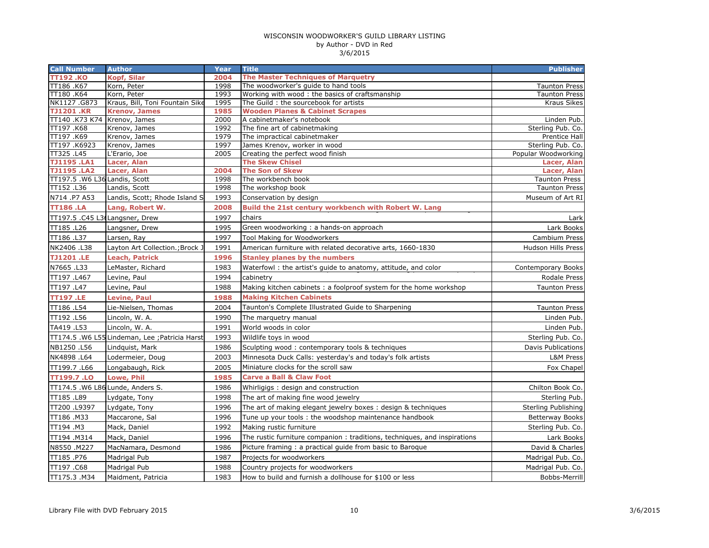| <b>Call Number</b>             | <b>Author</b>                                  | Year         | <b>Title</b>                                                              | <b>Publisher</b>                   |
|--------------------------------|------------------------------------------------|--------------|---------------------------------------------------------------------------|------------------------------------|
| TT192 .KO                      | <b>Kopf, Silar</b>                             | 2004         | <b>The Master Techniques of Marquetry</b>                                 |                                    |
| TT186 .K67                     | Korn, Peter                                    | 1998         | The woodworker's guide to hand tools                                      | <b>Taunton Press</b>               |
| TT180 .K64                     | Korn, Peter                                    | 1993         | Working with wood: the basics of craftsmanship                            | <b>Taunton Press</b>               |
| NK1127.G873                    | Kraus, Bill, Toni Fountain Sike                | 1995         | The Guild: the sourcebook for artists                                     | <b>Kraus Sikes</b>                 |
| <b>TJ1201.KR</b>               | <b>Krenov, James</b>                           | 1985         | <b>Wooden Planes &amp; Cabinet Scrapes</b>                                |                                    |
| TT140 .K73 K74 Krenov, James   |                                                | 2000         | A cabinetmaker's notebook<br>The fine art of cabinetmaking                | Linden Pub.                        |
| TT197.K68<br>TT197.K69         | Krenov, James<br>Krenov, James                 | 1992<br>1979 | The impractical cabinetmaker                                              | Sterling Pub. Co.<br>Prentice Hall |
| TT197.K6923                    | Krenov, James                                  | 1997         | James Krenov, worker in wood                                              | Sterling Pub. Co.                  |
| TT325 .L45                     | L'Erario, Joe                                  | 2005         | Creating the perfect wood finish                                          | Popular Woodworking                |
| <b>TJ1195.LA1</b>              | Lacer, Alan                                    |              | <b>The Skew Chisel</b>                                                    | Lacer, Alan                        |
| <b>TJ1195.LA2</b>              | Lacer, Alan                                    | 2004         | <b>The Son of Skew</b>                                                    | Lacer, Alan                        |
| TT197.5 .W6 L36 Landis, Scott  |                                                | 1998         | The workbench book                                                        | <b>Taunton Press</b>               |
| TT152.L36                      | Landis, Scott                                  | 1998         | The workshop book                                                         | <b>Taunton Press</b>               |
| N714 .P7 A53                   | Landis, Scott; Rhode Island S                  | 1993         | Conservation by design                                                    | Museum of Art RI                   |
| <b>TT186.LA</b>                | Lang, Robert W.                                | 2008         | Build the 21st century workbench with Robert W. Lang                      |                                    |
| TT197.5 .C45 L36Langsner, Drew |                                                | 1997         | chairs                                                                    | Lark                               |
| TT185.L26                      | Langsner, Drew                                 | 1995         | Green woodworking: a hands-on approach                                    | Lark Books                         |
| TT186 .L37                     | Larsen, Ray                                    | 1997         | Tool Making for Woodworkers                                               | Cambium Press                      |
| NK2406 .L38                    | Layton Art Collection.; Brock J                | 1991         | American furniture with related decorative arts, 1660-1830                | Hudson Hills Press                 |
| <b>TJ1201.LE</b>               | <b>Leach, Patrick</b>                          | 1996         | <b>Stanley planes by the numbers</b>                                      |                                    |
| N7665.L33                      | LeMaster, Richard                              | 1983         | Waterfowl: the artist's guide to anatomy, attitude, and color             | <b>Contemporary Books</b>          |
| TT197.L467                     | Levine, Paul                                   | 1994         | cabinetry                                                                 | Rodale Press                       |
| TT197 .L47                     | Levine, Paul                                   | 1988         | Making kitchen cabinets: a foolproof system for the home workshop         | <b>Taunton Press</b>               |
| <b>TT197.LE</b>                | <b>Levine, Paul</b>                            | 1988         | <b>Making Kitchen Cabinets</b>                                            |                                    |
| TT186 .L54                     | Lie-Nielsen, Thomas                            | 2004         | Taunton's Complete Illustrated Guide to Sharpening                        | <b>Taunton Press</b>               |
| TT192.L56                      | Lincoln, W. A.                                 | 1990         | The marquetry manual                                                      | Linden Pub.                        |
| TA419 .L53                     | Lincoln, W. A.                                 | 1991         | World woods in color                                                      | Linden Pub                         |
|                                | TT174.5 .W6 L55 Lindeman, Lee ; Patricia Harst | 1993         | Wildlife toys in wood                                                     | Sterling Pub. Co.                  |
| NB1250.L56                     | Lindquist, Mark                                | 1986         | Sculpting wood: contemporary tools & techniques                           | <b>Davis Publications</b>          |
| NK4898 .L64                    | Lodermeier, Doug                               | 2003         | Minnesota Duck Calls: yesterday's and today's folk artists                | L&M Press                          |
| TT199.7.L66                    | Longabaugh, Rick                               | 2005         | Miniature clocks for the scroll saw                                       | Fox Chapel                         |
| <b>TT199.7.LO</b>              | Lowe, Phil                                     | 1985         | <b>Carve a Ball &amp; Claw Foot</b>                                       |                                    |
|                                | TT174.5 .W6 L86 Lunde, Anders S.               | 1986         | Whirligigs: design and construction                                       | Chilton Book Co.                   |
| TT185.L89                      | Lydgate, Tony                                  | 1998         | The art of making fine wood jewelry                                       | Sterling Pub.                      |
| TT200 .L9397                   | Lydgate, Tony                                  | 1996         | The art of making elegant jewelry boxes: design & techniques              | Sterling Publishing                |
| TT186.M33                      | Maccarone, Sal                                 | 1996         | Tune up your tools: the woodshop maintenance handbook                     | <b>Betterway Books</b>             |
| TT194 .M3                      | Mack, Daniel                                   | 1992         | Making rustic furniture                                                   | Sterling Pub. Co.                  |
| TT194.M314                     | Mack, Daniel                                   | 1996         | The rustic furniture companion : traditions, techniques, and inspirations | Lark Books                         |
| N8550.M227                     | MacNamara, Desmond                             | 1986         | Picture framing: a practical guide from basic to Baroque                  | David & Charles                    |
| TT185.P76                      | Madrigal Pub                                   | 1987         | Projects for woodworkers                                                  | Madrigal Pub. Co.                  |
| TT197.C68                      | Madrigal Pub                                   | 1988         | Country projects for woodworkers                                          | Madrigal Pub. Co.                  |
| TT175.3.M34                    | Maidment, Patricia                             | 1983         | How to build and furnish a dollhouse for \$100 or less                    | Bobbs-Merrill                      |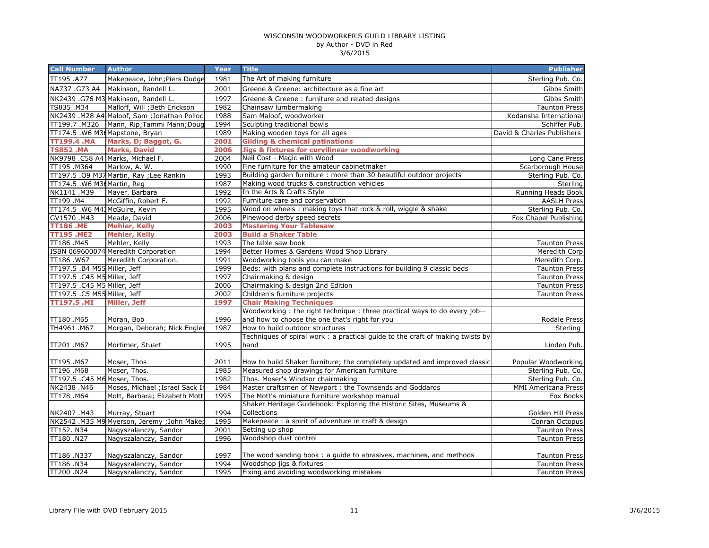| <b>Call Number</b>            | <b>Author</b>                                | Year | <b>Title</b>                                                                                   | <b>Publisher</b>           |
|-------------------------------|----------------------------------------------|------|------------------------------------------------------------------------------------------------|----------------------------|
| TT195 .A77                    | Makepeace, John; Piers Dudge                 | 1981 | The Art of making furniture                                                                    | Sterling Pub. Co.          |
| NA737 .G73 A4                 | Makinson, Randell L.                         | 2001 | Greene & Greene: architecture as a fine art                                                    | Gibbs Smith                |
|                               | NK2439 .G76 M3 Makinson, Randell L.          | 1997 | Greene & Greene: furniture and related designs                                                 | Gibbs Smith                |
| TS835.M34                     | Malloff, Will ; Beth Erickson                | 1982 | Chainsaw lumbermaking                                                                          | <b>Taunton Press</b>       |
|                               | NK2439 .M28 A4 Maloof, Sam ; Jonathan Polloc | 1988 | Sam Maloof, woodworker                                                                         | Kodansha International     |
| TT199.7.M326                  | Mann, Rip; Tammi Mann; Doug                  | 1994 | Sculpting traditional bowls                                                                    | Schiffer Pub.              |
|                               | TT174.5 .W6 M36Mapstone, Bryan               | 1989 | Making wooden toys for all ages                                                                | David & Charles Publishers |
| TT199.4 .MA                   | Marks, D; Baggot, G.                         | 2001 | <b>Gilding &amp; chemical patinations</b>                                                      |                            |
| <b>TS852.MA</b>               | <b>Marks, David</b>                          | 2006 | <b>Jigs &amp; fixtures for curvilinear woodworking</b>                                         |                            |
|                               | NK9798 .C58 A4 Marks, Michael F.             | 2004 | Neil Cost - Magic with Wood                                                                    | Long Cane Press            |
| TT195 .M364                   | Marlow, A. W.                                | 1990 | Fine furniture for the amateur cabinetmaker                                                    | Scarborough House          |
|                               | TT197.5 .09 M37 Martin, Ray ; Lee Rankin     | 1993 | Building garden furniture : more than 30 beautiful outdoor projects                            | Sterling Pub. Co.          |
| TT174.5 .W6 M36 Martin, Reg   |                                              | 1987 | Making wood trucks & construction vehicles                                                     | Sterling                   |
| NK1141.M39                    | Mayer, Barbara                               | 1992 | In the Arts & Crafts Style                                                                     | Running Heads Book         |
| TT199 .M4                     | McGiffin, Robert F.                          | 1992 | Furniture care and conservation                                                                | <b>AASLH Press</b>         |
| TT174.5 .W6 M43McGuire, Kevin |                                              | 1995 | Wood on wheels : making toys that rock & roll, wiggle & shake                                  | Sterling Pub. Co.          |
| GV1570.M43                    | Meade, David                                 | 2006 | Pinewood derby speed secrets                                                                   | Fox Chapel Publishing      |
| <b>TT186.ME</b>               | <b>Mehler, Kelly</b>                         | 2003 | <b>Mastering Your Tablesaw</b>                                                                 |                            |
| <b>TT195 .ME2</b>             | <b>Mehler, Kelly</b>                         | 2003 | <b>Build a Shaker Table</b>                                                                    |                            |
| TT186.M45                     | Mehler, Kelly                                | 1993 | The table saw book                                                                             | <b>Taunton Press</b>       |
|                               | ISBN 069600074 Meredith Corporation          | 1994 | Better Homes & Gardens Wood Shop Library                                                       | Meredith Corp              |
| TT186.W67                     | Meredith Corporation.                        | 1991 | Woodworking tools you can make                                                                 | Meredith Corp.             |
| TT197.5 .B4 M55 Miller, Jeff  |                                              | 1999 | Beds: with plans and complete instructions for building 9 classic beds                         | <b>Taunton Press</b>       |
| TT197.5 .C45 M5 Miller, Jeff  |                                              | 1997 | Chairmaking & design                                                                           | <b>Taunton Press</b>       |
| TT197.5 .C45 M5 Miller, Jeff  |                                              | 2006 | Chairmaking & design 2nd Edition                                                               | <b>Taunton Press</b>       |
| TT197.5 .C5 M55 Miller, Jeff  |                                              | 2002 | Children's furniture projects                                                                  | <b>Taunton Press</b>       |
| TT197.5 .MI                   | Miller, Jeff                                 | 1997 | <b>Chair Making Techniques</b>                                                                 |                            |
|                               |                                              |      | Woodworking: the right technique: three practical ways to do every job--                       |                            |
| TT180.M65                     | Moran, Bob                                   | 1996 | and how to choose the one that's right for you                                                 | Rodale Press               |
| TH4961 .M67                   | Morgan, Deborah; Nick Engler                 | 1987 | How to build outdoor structures                                                                | Sterling                   |
|                               |                                              |      | Techniques of spiral work: a practical guide to the craft of making twists by                  |                            |
| TT201.M67                     | Mortimer, Stuart                             | 1995 | hand                                                                                           | Linden Pub.                |
|                               |                                              |      |                                                                                                |                            |
| TT195.M67                     | Moser, Thos                                  | 2011 | How to build Shaker furniture; the completely updated and improved classic                     | Popular Woodworking        |
| TT196 .M68                    | Moser, Thos.                                 | 1985 | Measured shop drawings for American furniture                                                  | Sterling Pub. Co.          |
| TT197.5 .C45 M6 Moser, Thos.  |                                              | 1982 | Thos. Moser's Windsor chairmaking                                                              | Sterling Pub. Co.          |
| NK2438.N46                    | Moses, Michael ; Israel Sack In              | 1984 | Master craftsmen of Newport : the Townsends and Goddards                                       | <b>MMI Americana Press</b> |
| TT178.M64                     | Mott, Barbara; Elizabeth Mott                | 1995 | The Mott's miniature furniture workshop manual                                                 | Fox Books                  |
|                               |                                              |      | Shaker Heritage Guidebook: Exploring the Historic Sites, Museums &                             |                            |
| NK2407.M43                    | Murray, Stuart                               | 1994 | Collections                                                                                    | Golden Hill Press          |
|                               | NK2542 .M35 M9 Myerson, Jeremy ; John Make   | 1995 | Makepeace : a spirit of adventure in craft & design                                            | Conran Octopus             |
| TT152. N34                    | Nagyszalanczy, Sandor                        | 2001 | Setting up shop                                                                                | <b>Taunton Press</b>       |
| TT180.N27                     | Nagyszalanczy, Sandor                        | 1996 | Woodshop dust control                                                                          | <b>Taunton Press</b>       |
|                               |                                              |      |                                                                                                |                            |
| TT186 .N337                   | Nagyszalanczy, Sandor                        | 1997 | The wood sanding book: a guide to abrasives, machines, and methods<br>Woodshop jigs & fixtures | <b>Taunton Press</b>       |
| TT186 .N34                    | Nagyszalanczy, Sandor                        | 1994 |                                                                                                | <b>Taunton Press</b>       |
| TT200 .N24                    | Nagyszalanczy, Sandor                        | 1995 | Fixing and avoiding woodworking mistakes                                                       | <b>Taunton Press</b>       |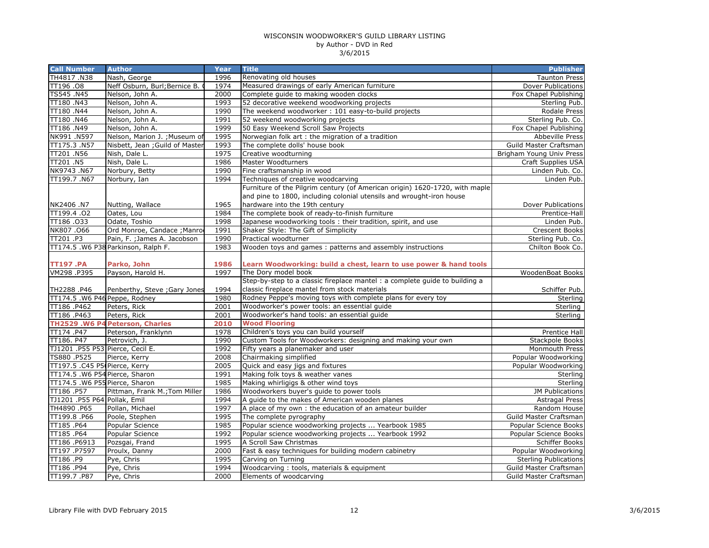| <b>Call Number</b>               | <b>Author</b>                       | <b>Year</b>  | <b>Title</b>                                                                                                                                        | <b>Publisher</b>             |
|----------------------------------|-------------------------------------|--------------|-----------------------------------------------------------------------------------------------------------------------------------------------------|------------------------------|
| TH4817.N38                       | Nash, George                        | 1996         | Renovating old houses                                                                                                                               | <b>Taunton Press</b>         |
| TT196.08                         | Neff Osburn, Burl; Bernice B.       | 1974         | Measured drawings of early American furniture                                                                                                       | <b>Dover Publications</b>    |
| TS545.N45                        | Nelson, John A.                     | 2000         | Complete quide to making wooden clocks                                                                                                              | Fox Chapel Publishing        |
| TT180.N43                        | Nelson, John A.                     | 1993         | 52 decorative weekend woodworking projects                                                                                                          | Sterling Pub.                |
| TT180.N44                        | Nelson, John A.                     | 1990         | The weekend woodworker: 101 easy-to-build projects                                                                                                  | Rodale Press                 |
| TT180.N46                        | Nelson, John A.                     | 1991         | 52 weekend woodworking projects                                                                                                                     | Sterling Pub. Co.            |
| TT186.N49                        | Nelson, John A.                     | 1999         | 50 Easy Weekend Scroll Saw Projects                                                                                                                 | Fox Chapel Publishing        |
| NK991.N597                       | Nelson, Marion J. ; Museum of       | 1995         | Norwegian folk art: the migration of a tradition                                                                                                    | <b>Abbeville Press</b>       |
| TT175.3 .N57                     | Nisbett, Jean ; Guild of Master     | 1993         | The complete dolls' house book                                                                                                                      | Guild Master Craftsman       |
| TT201.N56                        | Nish, Dale L.                       | 1975         | Creative woodturning                                                                                                                                | Brigham Young Univ Press     |
| TT201 .N5                        | Nish, Dale L.                       | 1986         | Master Woodturners                                                                                                                                  | Craft Supplies USA           |
| NK9743.N67                       | Norbury, Betty                      | 1990         | Fine craftsmanship in wood                                                                                                                          | Linden Pub. Co.              |
| TT199.7.N67                      | Norbury, Ian                        | 1994         | Techniques of creative woodcarving                                                                                                                  | Linden Pub.                  |
|                                  |                                     |              | Furniture of the Pilgrim century (of American origin) 1620-1720, with maple<br>and pine to 1800, including colonial utensils and wrought-iron house |                              |
| NK2406 .N7                       | Nutting, Wallace                    | 1965         | hardware into the 19th century                                                                                                                      | Dover Publications           |
| TT199.4.02                       | Oates, Lou                          | 1984         | The complete book of ready-to-finish furniture                                                                                                      | Prentice-Hall                |
| TT186.033                        | Odate, Toshio                       | 1998         | Japanese woodworking tools: their tradition, spirit, and use                                                                                        | Linden Pub.                  |
| NK807.066                        | Ord Monroe, Candace ; Manro         | 1991         | Shaker Style: The Gift of Simplicity                                                                                                                | <b>Crescent Books</b>        |
| TT201.P3                         | Pain, F.; James A. Jacobson         | 1990         | Practical woodturner                                                                                                                                | Sterling Pub. Co.            |
|                                  | TT174.5 .W6 P38 Parkinson, Ralph F. | 1983         | Wooden toys and games: patterns and assembly instructions                                                                                           | Chilton Book Co.             |
| <b>TT197.PA</b><br>VM298.P395    | Parko, John<br>Payson, Harold H.    | 1986<br>1997 | Learn Woodworking: build a chest, learn to use power & hand tools<br>The Dory model book                                                            | WoodenBoat Books             |
|                                  |                                     |              | Step-by-step to a classic fireplace mantel : a complete guide to building a                                                                         |                              |
| TH2288.P46                       | Penberthy, Steve ; Gary Jones       | 1994         | classic fireplace mantel from stock materials                                                                                                       | Schiffer Pub.                |
| TT174.5 .W6 P46 Peppe, Rodney    |                                     | 1980         | Rodney Peppe's moving toys with complete plans for every toy                                                                                        | Sterling                     |
| TT186.P462                       | Peters, Rick                        | 2001         | Woodworker's power tools: an essential guide                                                                                                        | Sterling                     |
| TT186.P463                       | Peters, Rick                        | 2001         | Woodworker's hand tools: an essential guide                                                                                                         | Sterling                     |
|                                  | TH2529 .W6 P4 Peterson, Charles     | 2010         | <b>Wood Flooring</b>                                                                                                                                |                              |
| TT174.P47                        | Peterson, Franklynn                 | 1978         | Children's toys you can build yourself                                                                                                              | Prentice Hall                |
| TT186. P47                       | Petrovich, J.                       | 1990         | Custom Tools for Woodworkers: designing and making your own                                                                                         | Stackpole Books              |
| TJ1201 .P55 P53 Pierce, Cecil E. |                                     | 1992         | Fifty years a planemaker and user                                                                                                                   | Monmouth Press               |
| TS880.P525                       | Pierce, Kerry                       | 2008         | Chairmaking simplified                                                                                                                              | Popular Woodworking          |
| TT197.5 .C45 P5(Pierce, Kerry    |                                     | 2005         | Quick and easy jigs and fixtures                                                                                                                    | Popular Woodworking          |
| TT174.5 .W6 P54 Pierce, Sharon   |                                     | 1991         | Making folk toys & weather vanes                                                                                                                    | Sterling                     |
| TT174.5 .W6 P55 Pierce, Sharon   |                                     | 1985         | Making whirligigs & other wind toys                                                                                                                 | Sterling                     |
| TT186.P57                        | Pittman, Frank M.; Tom Miller       | 1986         | Woodworkers buyer's guide to power tools                                                                                                            | JM Publications              |
| TJ1201 .P55 P64 Pollak, Emil     |                                     | 1994         | A guide to the makes of American wooden planes                                                                                                      | <b>Astragal Press</b>        |
| TH4890.P65                       | Pollan, Michael                     | 1997         | A place of my own : the education of an amateur builder                                                                                             | Random House                 |
| TT199.8 .P66                     | Poole, Stephen                      | 1995         | The complete pyrography                                                                                                                             | Guild Master Craftsman       |
| TT185.P64                        | Popular Science                     | 1985         | Popular science woodworking projects  Yearbook 1985                                                                                                 | Popular Science Books        |
| TT185.P64                        | Popular Science                     | 1992         | Popular science woodworking projects  Yearbook 1992                                                                                                 | Popular Science Books        |
| TT186.P6913                      | Pozsgai, Frand                      | 1995         | A Scroll Saw Christmas                                                                                                                              | Schiffer Books               |
| TT197.P7597                      | Proulx, Danny                       | 2000         | Fast & easy techniques for building modern cabinetry                                                                                                | Popular Woodworking          |
| TT186.P9                         | Pye, Chris                          | 1995         | Carving on Turning                                                                                                                                  | <b>Sterling Publications</b> |
| TT186.P94                        | Pye, Chris                          | 1994         | Woodcarving: tools, materials & equipment                                                                                                           | Guild Master Craftsman       |
| TT199.7.P87                      | Pye, Chris                          | 2000         | Elements of woodcarving                                                                                                                             | Guild Master Craftsman       |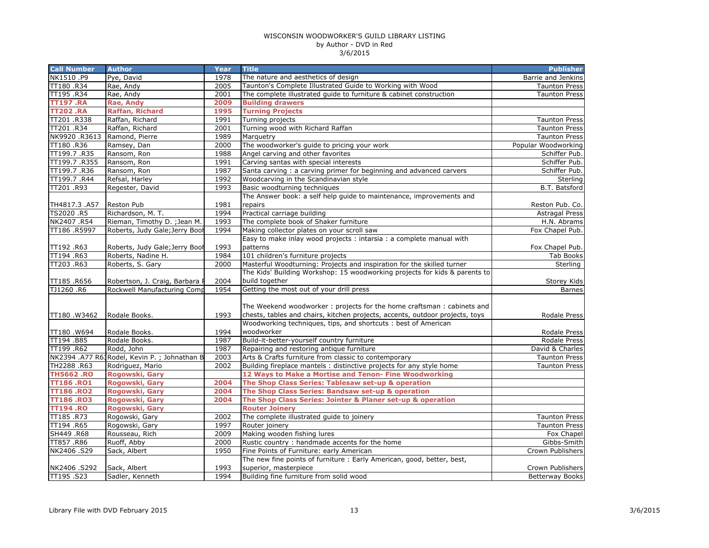| <b>Call Number</b>           | <b>Author</b>                                | Year         | <b>Title</b>                                                                 | <b>Publisher</b>                   |
|------------------------------|----------------------------------------------|--------------|------------------------------------------------------------------------------|------------------------------------|
| NK1510.P9                    | Pye, David                                   | 1978         | The nature and aesthetics of design                                          | Barrie and Jenkins                 |
| TT180.R34                    | Rae, Andy                                    | 2005         | Taunton's Complete Illustrated Guide to Working with Wood                    | <b>Taunton Press</b>               |
| TT195.R34                    | Rae, Andy                                    | 2001         | The complete illustrated guide to furniture & cabinet construction           | <b>Taunton Press</b>               |
| <b>TT197.RA</b>              | Rae, Andy                                    | 2009         | <b>Building drawers</b>                                                      |                                    |
| <b>TT202.RA</b>              | <b>Raffan, Richard</b>                       | 1995         | <b>Turning Projects</b>                                                      |                                    |
| TT201.R338                   | Raffan, Richard                              | 1991         | Turning projects                                                             | <b>Taunton Press</b>               |
| TT201 .R34                   | Raffan, Richard                              | 2001         | Turning wood with Richard Raffan                                             | <b>Taunton Press</b>               |
| NK9920 .R3613                | Ramond, Pierre                               | 1989         | Marquetry                                                                    | <b>Taunton Press</b>               |
| TT180.R36                    | Ramsey, Dan                                  | 2000         | The woodworker's guide to pricing your work                                  | Popular Woodworking                |
| TT199.7.R35                  | Ransom, Ron                                  | 1988         | Angel carving and other favorites                                            | Schiffer Pub.                      |
| TT199.7.R355                 | Ransom, Ron                                  | 1991         | Carving santas with special interests                                        | Schiffer Pub.                      |
| TT199.7.R36                  | Ransom, Ron                                  | 1987         | Santa carving: a carving primer for beginning and advanced carvers           | Schiffer Pub.                      |
| TT199.7 .R44                 | Refsal, Harley                               | 1992         | Woodcarving in the Scandinavian style                                        | Sterling                           |
| TT201.R93                    | Regester, David                              | 1993         | Basic woodturning techniques                                                 | B.T. Batsford                      |
|                              |                                              |              | The Answer book: a self help guide to maintenance, improvements and          |                                    |
| TH4817.3 .A57                | Reston Pub                                   | 1981         | repairs                                                                      | Reston Pub. Co.                    |
| TS2020 .R5                   | Richardson, M. T.                            | 1994         | Practical carriage building                                                  | <b>Astragal Press</b>              |
| NK2407.R54                   | Rieman, Timothy D.; Jean M.                  | 1993         | The complete book of Shaker furniture                                        | H.N. Abrams                        |
| TT186 .R5997                 | Roberts, Judy Gale; Jerry Bool               | 1994         | Making collector plates on your scroll saw                                   | Fox Chapel Pub.                    |
|                              |                                              |              | Easy to make inlay wood projects : intarsia : a complete manual with         |                                    |
| TT192.R63                    | Roberts, Judy Gale; Jerry Bool               | 1993         | patterns                                                                     | Fox Chapel Pub.                    |
| TT194 .R63                   | Roberts, Nadine H.                           | 1984         | 101 children's furniture projects                                            | Tab Books                          |
| TT203.R63                    | Roberts, S. Gary                             | 2000         | Masterful Woodturning: Projects and inspiration for the skilled turner       | Sterling                           |
|                              |                                              |              | The Kids' Building Workshop: 15 woodworking projects for kids & parents to   |                                    |
| TT185.R656                   | Robertson, J. Craig, Barbara                 | 2004         | build together                                                               | Storey Kids                        |
| TJ1260 .R6                   | Rockwell Manufacturing Comp                  | 1954         | Getting the most out of your drill press                                     | <b>Barnes</b>                      |
|                              |                                              |              |                                                                              |                                    |
|                              |                                              |              | The Weekend woodworker: projects for the home craftsman: cabinets and        |                                    |
| TT180.W3462                  | Rodale Books.                                | 1993         | chests, tables and chairs, kitchen projects, accents, outdoor projects, toys | Rodale Press                       |
|                              |                                              |              | Woodworking techniques, tips, and shortcuts : best of American               |                                    |
| TT180.W694                   | Rodale Books.                                | 1994         | woodworker                                                                   | Rodale Press                       |
| TT194.B85                    | Rodale Books.                                | 1987         | Build-it-better-yourself country furniture                                   | Rodale Press                       |
| TT199 .R62                   | Rodd, John                                   | 1987         | Repairing and restoring antique furniture                                    | David & Charles                    |
|                              | NK2394 .A77 R63Rodel, Kevin P. ; Johnathan B | 2003         | Arts & Crafts furniture from classic to contemporary                         | <b>Taunton Press</b>               |
| TH2288 .R63                  | Rodriguez, Mario                             | 2002         | Building fireplace mantels: distinctive projects for any style home          | <b>Taunton Press</b>               |
| <b>TH5662.RO</b>             | Rogowski, Gary                               |              | 12 Ways to Make a Mortise and Tenon- Fine Woodworking                        |                                    |
| <b>TT186.RO1</b>             | Rogowski, Gary                               | 2004         | The Shop Class Series: Tablesaw set-up & operation                           |                                    |
| <b>TT186.RO2</b>             | Rogowski, Gary                               | 2004         | The Shop Class Series: Bandsaw set-up & operation                            |                                    |
| <b>TT186.RO3</b>             | Rogowski, Gary                               | 2004         | The Shop Class Series: Jointer & Planer set-up & operation                   |                                    |
| <b>TT194.RO</b><br>TT185.R73 | Rogowski, Gary                               |              | <b>Router Joinery</b><br>The complete illustrated guide to joinery           |                                    |
| TT194 .R65                   | Rogowski, Gary                               | 2002<br>1997 |                                                                              | <b>Taunton Press</b>               |
| SH449 .R68                   | Rogowski, Gary<br>Rousseau, Rich             | 2009         | Router joinery                                                               | <b>Taunton Press</b><br>Fox Chapel |
|                              | Ruoff, Abby                                  | 2000         | Making wooden fishing lures<br>Rustic country: handmade accents for the home |                                    |
| TT857.R86<br>NK2406.S29      | Sack, Albert                                 | 1950         | Fine Points of Furniture: early American                                     | Gibbs-Smith<br>Crown Publishers    |
|                              |                                              |              | The new fine points of furniture : Early American, good, better, best,       |                                    |
|                              |                                              | 1993         | superior, masterpiece                                                        | Crown Publishers                   |
| NK2406 .S292<br>TT195.S23    | Sack, Albert<br>Sadler, Kenneth              | 1994         | Building fine furniture from solid wood                                      | <b>Betterway Books</b>             |
|                              |                                              |              |                                                                              |                                    |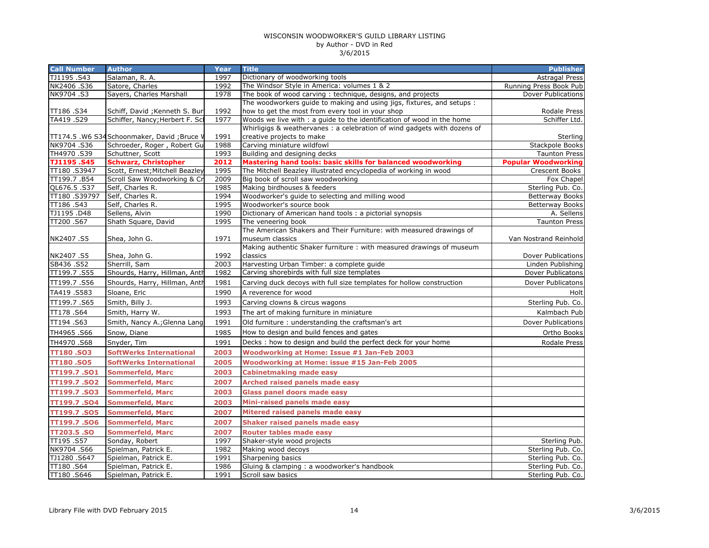| <b>Call Number</b>        | <b>Author</b>                                                  | Year         | <b>Title</b>                                                                                | <b>Publisher</b>                                   |
|---------------------------|----------------------------------------------------------------|--------------|---------------------------------------------------------------------------------------------|----------------------------------------------------|
| TJ1195.S43                | Salaman, R. A.                                                 | 1997         | Dictionary of woodworking tools                                                             | Astragal Press                                     |
| NK2406.S36                | Satore, Charles                                                | 1992         | The Windsor Style in America: volumes 1 & 2                                                 | Running Press Book Pub                             |
| NK9704.S3                 | Sayers, Charles Marshall                                       | 1978         | The book of wood carving: technique, designs, and projects                                  | Dover Publications                                 |
|                           |                                                                |              | The woodworkers guide to making and using jigs, fixtures, and setups :                      |                                                    |
| TT186.S34                 | Schiff, David ; Kenneth S. Bur                                 | 1992         | how to get the most from every tool in your shop                                            | Rodale Press                                       |
| TA419.S29                 | Schiffer, Nancy; Herbert F. Scl                                | 1977         | Woods we live with : a guide to the identification of wood in the home                      | Schiffer Ltd.                                      |
|                           |                                                                |              | Whirligigs & weathervanes: a celebration of wind gadgets with dozens of                     |                                                    |
|                           | TT174.5 .W6 S34 Schoonmaker, David ;Bruce V                    | 1991         | creative projects to make                                                                   | Sterling                                           |
| NK9704.S36                | Schroeder, Roger, Robert Gu                                    | 1988         | Carving miniature wildfowl                                                                  | <b>Stackpole Books</b>                             |
| TH4970.S39                | Schuttner, Scott                                               | 1993<br>2012 | Building and designing decks<br>Mastering hand tools: basic skills for balanced woodworking | <b>Taunton Press</b><br><b>Popular Woodworking</b> |
| TJ1195.S45<br>TT180.S3947 | <b>Schwarz, Christopher</b><br>Scott, Ernest; Mitchell Beazley | 1995         | The Mitchell Beazley illustrated encyclopedia of working in wood                            | Crescent Books                                     |
| TT199.7.B54               | Scroll Saw Woodworking & Cr                                    | 2009         | Big book of scroll saw woodworking                                                          | Fox Chapel                                         |
| QL676.5.S37               | Self, Charles R.                                               | 1985         | Making birdhouses & feeders                                                                 | Sterling Pub. Co.                                  |
| TT180.S39797              | Self, Charles R.                                               | 1994         | Woodworker's quide to selecting and milling wood                                            | <b>Betterway Books</b>                             |
| TT186.S43                 | Self, Charles R.                                               | 1995         | Woodworker's source book                                                                    | <b>Betterway Books</b>                             |
| TJ1195.D48                | Sellens, Alvin                                                 | 1990         | Dictionary of American hand tools : a pictorial synopsis                                    | A. Sellens                                         |
| TT200.S67                 | Shath Square, David                                            | 1995         | The veneering book                                                                          | <b>Taunton Press</b>                               |
|                           |                                                                |              | The American Shakers and Their Furniture: with measured drawings of                         |                                                    |
| NK2407.S5                 | Shea, John G.                                                  | 1971         | museum classics                                                                             | Van Nostrand Reinhold                              |
|                           |                                                                |              | Making authentic Shaker furniture : with measured drawings of museum                        |                                                    |
| NK2407.S5                 | Shea, John G.                                                  | 1992         | classics                                                                                    | Dover Publications                                 |
| SB436.S52                 | Sherrill, Sam                                                  | 2003         | Harvesting Urban Timber: a complete guide                                                   | Linden Publishing                                  |
| TT199.7.S55               | Shourds, Harry, Hillman, Anth                                  | 1982         | Carving shorebirds with full size templates                                                 | Dover Publicatons                                  |
| TT199.7.S56               | Shourds, Harry, Hillman, Anth                                  | 1981         | Carving duck decoys with full size templates for hollow construction                        | Dover Publicatons                                  |
| TA419.S583                | Sloane, Eric                                                   | 1990         | A reverence for wood                                                                        | Holt                                               |
| TT199.7.S65               | Smith, Billy J.                                                | 1993         | Carving clowns & circus wagons                                                              | Sterling Pub. Co.                                  |
| TT178.S64                 | Smith, Harry W.                                                | 1993         | The art of making furniture in miniature                                                    | Kalmbach Pub                                       |
| TT194.S63                 | Smith, Nancy A.; Glenna Lang                                   | 1991         | Old furniture: understanding the craftsman's art                                            | Dover Publications                                 |
| TH4965.S66                | Snow, Diane                                                    | 1985         | How to design and build fences and gates                                                    | Ortho Books                                        |
| TH4970.S68                | Snyder, Tim                                                    | 1991         | Decks: how to design and build the perfect deck for your home                               | Rodale Press                                       |
| TT180.SO3                 | <b>SoftWerks International</b>                                 | 2003         | Woodworking at Home: Issue #1 Jan-Feb 2003                                                  |                                                    |
| TT180.SO5                 | <b>SoftWerks International</b>                                 | 2005         | Woodworking at Home: issue #15 Jan-Feb 2005                                                 |                                                    |
| <b>TT199.7.SO1</b>        | <b>Sommerfeld, Marc</b>                                        | 2003         | <b>Cabinetmaking made easy</b>                                                              |                                                    |
| TT199.7.SO2               | <b>Sommerfeld, Marc</b>                                        | 2007         | <b>Arched raised panels made easy</b>                                                       |                                                    |
| TT199.7.SO3               | <b>Sommerfeld, Marc</b>                                        | 2003         | <b>Glass panel doors made easy</b>                                                          |                                                    |
| TT199.7.SO4               | <b>Sommerfeld, Marc</b>                                        | 2003         | Mini-raised panels made easy                                                                |                                                    |
| TT199.7.SO5               | <b>Sommerfeld, Marc</b>                                        | 2007         | Mitered raised panels made easy                                                             |                                                    |
| TT199.7.SO6               | <b>Sommerfeld, Marc</b>                                        | 2007         | <b>Shaker raised panels made easy</b>                                                       |                                                    |
| TT203.5 .SO               | <b>Sommerfeld, Marc</b>                                        | 2007         | <b>Router tables made easy</b>                                                              |                                                    |
| TT195.S57                 | Sonday, Robert                                                 | 1997         | Shaker-style wood projects                                                                  | Sterling Pub.                                      |
| NK9704.S66                | Spielman, Patrick E.                                           | 1982         | Making wood decoys                                                                          | Sterling Pub. Co.                                  |
| TJ1280.S647               | Spielman, Patrick E.                                           | 1991         | Sharpening basics                                                                           | Sterling Pub. Co.                                  |
| TT180.S64                 | Spielman, Patrick E.                                           | 1986         | Gluing & clamping : a woodworker's handbook                                                 | Sterling Pub. Co.                                  |
| TT180 .S646               | Spielman, Patrick E.                                           | 1991         | Scroll saw basics                                                                           | Sterling Pub. Co.                                  |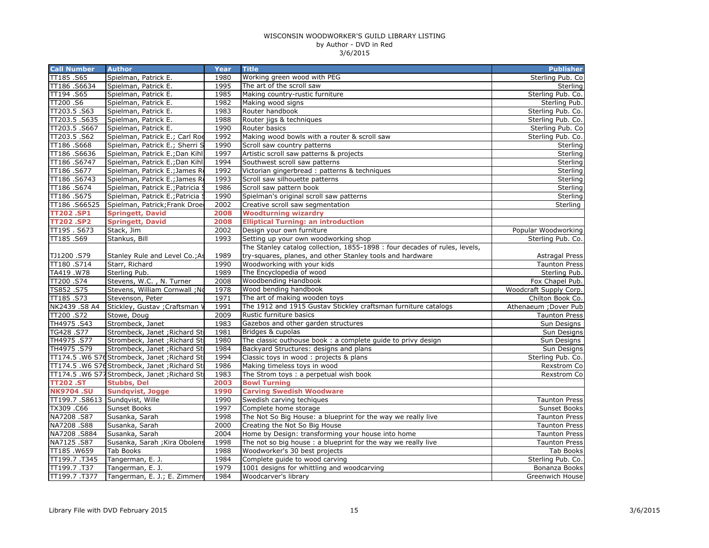| <b>Call Number</b>       | <b>Author</b>                                 | Year         | <b>Title</b>                                                                       | <b>Publisher</b>               |
|--------------------------|-----------------------------------------------|--------------|------------------------------------------------------------------------------------|--------------------------------|
| TT185.S65                | Spielman, Patrick E.                          | 1980         | Working green wood with PEG                                                        | Sterling Pub. Co               |
| TT186 .S6634             | Spielman, Patrick E.                          | 1995         | The art of the scroll saw                                                          | Sterling                       |
| TT194 .S65               | Spielman, Patrick E.                          | 1985         | Making country-rustic furniture                                                    | Sterling Pub. Co.              |
| TT200.S6                 | Spielman, Patrick E.                          | 1982         | Making wood signs                                                                  | Sterling Pub.                  |
| TT203.5.S63              | Spielman, Patrick E.                          | 1983         | Router handbook                                                                    | Sterling Pub. Co.              |
| TT203.5.S635             | Spielman, Patrick E.                          | 1988         | Router jigs & techniques                                                           | Sterling Pub. Co.              |
| TT203.5 .S667            | Spielman, Patrick E.                          | 1990         | Router basics                                                                      | Sterling Pub. Co               |
| TT203.5.S62              | Spielman, Patrick E.; Carl Roe                | 1992         | Making wood bowls with a router & scroll saw                                       | Sterling Pub. Co.              |
| TT186 .S668              | Spielman, Patrick E.; Sherri S                | 1990         | Scroll saw country patterns                                                        | Sterling                       |
| TT186.S6636              | Spielman, Patrick E.; Dan Kihl                | 1997         | Artistic scroll saw patterns & projects                                            | Sterling                       |
| TT186 .S6747             | Spielman, Patrick E.; Dan Kihl                | 1994         | Southwest scroll saw patterns                                                      | Sterling                       |
| TT186.S677               | Spielman, Patrick E.; James Ro                | 1992         | Victorian gingerbread: patterns & techniques                                       | Sterling                       |
| TT186.S6743              | Spielman, Patrick E.; James Ro                | 1993         | Scroll saw silhouette patterns                                                     | Sterling                       |
| TT186.S674               | Spielman, Patrick E.; Patricia                | 1986         | Scroll saw pattern book                                                            | Sterling                       |
| TT186 .S675              | Spielman, Patrick E.; Patricia                | 1990         | Spielman's original scroll saw patterns                                            | Sterling                       |
| TT186.S66525             | Spielman, Patrick; Frank Droe                 | 2002         | Creative scroll saw segmentation                                                   | Sterling                       |
| <b>TT202.SP1</b>         | <b>Springett, David</b>                       | 2008         | <b>Woodturning wizardry</b>                                                        |                                |
| <b>TT202.SP2</b>         | <b>Springett, David</b>                       | 2008         | <b>Elliptical Turning: an introduction</b>                                         |                                |
| TT195. S673              | Stack, Jim                                    | 2002         | Design your own furniture                                                          | Popular Woodworking            |
| TT185.S69                | Stankus, Bill                                 | 1993         | Setting up your own woodworking shop                                               | Sterling Pub. Co.              |
|                          |                                               |              | The Stanley catalog collection, 1855-1898 : four decades of rules, levels,         |                                |
| TJ1200.S79               | Stanley Rule and Level Co.; As                | 1989         | try-squares, planes, and other Stanley tools and hardware                          | <b>Astragal Press</b>          |
| TT180 .S714              | Starr, Richard                                | 1990         | Woodworking with your kids                                                         | <b>Taunton Press</b>           |
| TA419.W78                | Sterling Pub.                                 | 1989         | The Encyclopedia of wood                                                           | Sterling Pub.                  |
| TT200 .S74               | Stevens, W.C., N. Turner                      | 2008         | Woodbending Handbook                                                               | Fox Chapel Pub.                |
| TS852.S75                | Stevens, William Cornwall ; No                | 1978         | Wood bending handbook                                                              | Woodcraft Supply Corp.         |
| TT185.S73                | Stevenson, Peter                              | 1971         | The art of making wooden toys                                                      | Chilton Book Co.               |
| NK2439 .S8 A4            | Stickley, Gustav ; Craftsman '                | 1991         | The 1912 and 1915 Gustav Stickley craftsman furniture catalogs                     | Athenaeum ; Dover Pub          |
| TT200 .S72               | Stowe, Doug                                   | 2009         | Rustic furniture basics                                                            | <b>Taunton Press</b>           |
| TH4975.S43               | Strombeck, Janet                              | 1983         | Gazebos and other garden structures                                                | Sun Designs                    |
| TG428.S77                | Strombeck, Janet ; Richard Sti                | 1981         | Bridges & cupolas                                                                  | Sun Designs                    |
| TH4975.S77               | Strombeck, Janet ; Richard Sti                | 1980         | The classic outhouse book: a complete guide to privy design                        | Sun Designs                    |
| TH4975.S79               | Strombeck, Janet ; Richard Sti                | 1984         | Backyard Structures: designs and plans                                             | Sun Designs                    |
|                          | TT174.5 .W6 S76Strombeck, Janet ; Richard Sti | 1994         | Classic toys in wood : projects & plans                                            | Sterling Pub. Co.              |
|                          | TT174.5 .W6 S76Strombeck, Janet ; Richard Sti | 1986         | Making timeless toys in wood                                                       | Rexstrom Co                    |
|                          | TT174.5 .W6 S77Strombeck, Janet ; Richard Sti | 1983         | The Strom toys : a perpetual wish book                                             | Rexstrom Co                    |
| <b>TT202.ST</b>          | <b>Stubbs, Del</b>                            | 2003         | <b>Bowl Turning</b>                                                                |                                |
| <b>NK9704.SU</b>         | <b>Sundqvist, Jogge</b>                       | 1990         | <b>Carving Swedish Woodware</b>                                                    |                                |
|                          | TT199.7 .S8613 Sundqvist, Wille               | 1990         | Swedish carving techiques                                                          | <b>Taunton Press</b>           |
| TX309.C66                | Sunset Books                                  | 1997<br>1998 | Complete home storage                                                              | Sunset Books                   |
| NA7208.S87<br>NA7208.S88 | Susanka, Sarah                                | 2000         | The Not So Big House: a blueprint for the way we really live                       | <b>Taunton Press</b>           |
| NA7208.S884              | Susanka, Sarah<br>Susanka, Sarah              | 2004         | Creating the Not So Big House<br>Home by Design: transforming your house into home | <b>Taunton Press</b>           |
| NA7125.S87               |                                               | 1998         | The not so big house: a blueprint for the way we really live                       | <b>Taunton Press</b>           |
| TT185.W659               | Susanka, Sarah ; Kira Obolens<br>Tab Books    | 1988         | Woodworker's 30 best projects                                                      | <b>Taunton Press</b>           |
| TT199.7.T345             | Tangerman, E. J.                              | 1984         | Complete guide to wood carving                                                     | Tab Books<br>Sterling Pub. Co. |
| TT199.7.T37              | Tangerman, E. J.                              | 1979         | 1001 designs for whittling and woodcarving                                         | Bonanza Books                  |
| TT199.7.T377             | Tangerman, E. J.; E. Zimmerr                  | 1984         | Woodcarver's library                                                               | Greenwich House                |
|                          |                                               |              |                                                                                    |                                |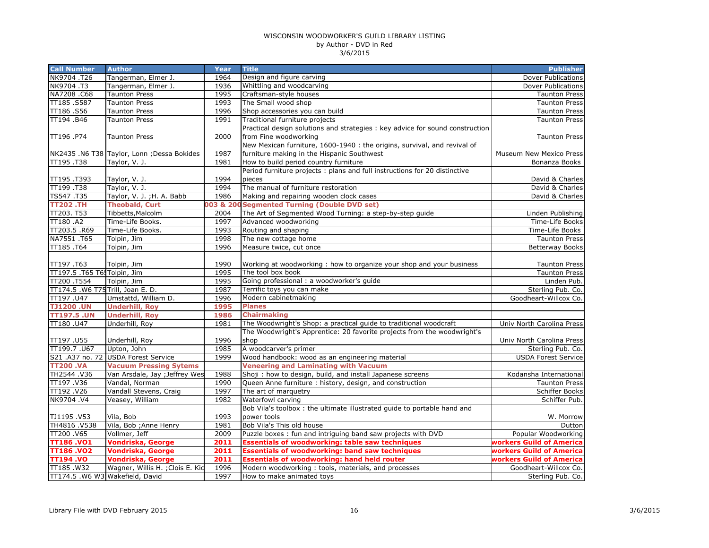| <b>Call Number</b>                | <b>Author</b>                               | <b>Year</b> | <b>Title</b>                                                                  | <b>Publisher</b>           |
|-----------------------------------|---------------------------------------------|-------------|-------------------------------------------------------------------------------|----------------------------|
| NK9704.T26                        | Tangerman, Elmer J.                         | 1964        | Design and figure carving                                                     | Dover Publications         |
| NK9704.T3                         | Tangerman, Elmer J.                         | 1936        | Whittling and woodcarving                                                     | Dover Publications         |
| NA7208.C68                        | <b>Taunton Press</b>                        | 1995        | Craftsman-style houses                                                        | <b>Taunton Press</b>       |
| TT185.S587                        | <b>Taunton Press</b>                        | 1993        | The Small wood shop                                                           | <b>Taunton Press</b>       |
| TT186.S56                         | <b>Taunton Press</b>                        | 1996        | Shop accessories you can build                                                | <b>Taunton Press</b>       |
| TT194.B46                         | <b>Taunton Press</b>                        | 1991        | Traditional furniture projects                                                | <b>Taunton Press</b>       |
|                                   |                                             |             | Practical design solutions and strategies : key advice for sound construction |                            |
| P74. TT196                        | <b>Taunton Press</b>                        | 2000        | from Fine woodworking                                                         | <b>Taunton Press</b>       |
|                                   |                                             |             | New Mexican furniture, 1600-1940 : the origins, survival, and revival of      |                            |
|                                   | NK2435 .N6 T38 Taylor, Lonn ; Dessa Bokides | 1987        | furniture making in the Hispanic Southwest                                    | Museum New Mexico Press    |
| TT195.T38                         | Taylor, V. J.                               | 1981        | How to build period country furniture                                         | Bonanza Books              |
|                                   |                                             |             | Period furniture projects : plans and full instructions for 20 distinctive    |                            |
| TT195.T393                        | Taylor, V. J.                               | 1994        | pieces                                                                        | David & Charles            |
| TT199.T38                         | Taylor, V. J.                               | 1994        | The manual of furniture restoration                                           | David & Charles            |
| TS547.T35                         | Taylor, V. J.; H. A. Babb                   | 1986        | Making and repairing wooden clock cases                                       | David & Charles            |
| <b>TT202.TH</b>                   | <b>Theobald, Curt</b>                       | 003 & 20    | <b>Segmented Turning (Double DVD set)</b>                                     |                            |
| TT203. T53                        | Tibbetts, Malcolm                           | 2004        | The Art of Segmented Wood Turning: a step-by-step guide                       | Linden Publishing          |
| TT180 .A2                         | Time-Life Books.                            | 1997        | Advanced woodworking                                                          | Time-Life Books            |
| TT203.5 .R69                      | Time-Life Books.                            | 1993        | Routing and shaping                                                           | Time-Life Books            |
| NA7551 .T65                       | Tolpin, Jim                                 | 1998        | The new cottage home                                                          | <b>Taunton Press</b>       |
| TT185.T64                         | Tolpin, Jim                                 | 1996        | Measure twice, cut once                                                       | <b>Betterway Books</b>     |
|                                   |                                             |             |                                                                               |                            |
| TT197.T63                         | Tolpin, Jim                                 | 1990        | Working at woodworking: how to organize your shop and your business           | <b>Taunton Press</b>       |
| TT197.5 .T65 T65 Tolpin, Jim      |                                             | 1995        | The tool box book                                                             | <b>Taunton Press</b>       |
| TT200.T554                        | Tolpin, Jim                                 | 1995        | Going professional : a woodworker's guide                                     | Linden Pub.                |
| TT174.5 .W6 T75 Trill, Joan E. D. |                                             | 1987        | Terrific toys you can make                                                    | Sterling Pub. Co.          |
| TT197.U47                         | Umstattd, William D.                        | 1996        | Modern cabinetmaking                                                          | Goodheart-Willcox Co.      |
| <b>TJ1200.UN</b>                  | <b>Underhill, Roy</b>                       | 1995        | <b>Planes</b>                                                                 |                            |
| <b>TT197.5 .UN</b>                | <b>Underhill, Roy</b>                       | 1986        | <b>Chairmaking</b>                                                            |                            |
| TT180.U47                         | Underhill, Roy                              | 1981        | The Woodwright's Shop: a practical guide to traditional woodcraft             | Univ North Carolina Press  |
|                                   |                                             |             | The Woodwright's Apprentice: 20 favorite projects from the woodwright's       |                            |
| TT197.U55                         | Underhill, Roy                              | 1996        | shop                                                                          | Univ North Carolina Press  |
| TT199.7.U67                       | Upton, John                                 | 1985        | A woodcarver's primer                                                         | Sterling Pub. Co.          |
|                                   | S21 .A37 no. 72 USDA Forest Service         | 1999        | Wood handbook: wood as an engineering material                                | <b>USDA Forest Service</b> |
| <b>TT200.VA</b>                   | <b>Vacuum Pressing Sytems</b>               |             | <b>Veneering and Laminating with Vacuum</b>                                   |                            |
| TH2544 .V36                       | Van Arsdale, Jay ; Jeffrey Wes              | 1988        | Shoji: how to design, build, and install Japanese screens                     | Kodansha International     |
| TT197.V36                         | Vandal, Norman                              | 1990        | Queen Anne furniture: history, design, and construction                       | <b>Taunton Press</b>       |
| TT192.V26                         | Vandall Stevens, Craig                      | 1997        | The art of marquetry                                                          | Schiffer Books             |
| NK9704.V4                         | Veasey, William                             | 1982        | Waterfowl carving                                                             | Schiffer Pub.              |
|                                   |                                             |             | Bob Vila's toolbox: the ultimate illustrated guide to portable hand and       |                            |
| TJ1195.V53                        | Vila, Bob                                   | 1993        | power tools                                                                   | W. Morrow                  |
| TH4816.V538                       | Vila, Bob ; Anne Henry                      | 1981        | Bob Vila's This old house                                                     | Dutton                     |
| TT200.V65                         | Vollmer, Jeff                               | 2009        | Puzzle boxes: fun and intriguing band saw projects with DVD                   | Popular Woodworking        |
| TT186.VO1                         | Vondriska, George                           | 2011        | <b>Essentials of woodworking: table saw techniques</b>                        | workers Guild of America   |
| <b>TT186.VO2</b>                  | <b>Vondriska, George</b>                    | 2011        | <b>Essentials of woodworking: band saw techniques</b>                         | workers Guild of America   |
| TT194.VO                          | <b>Vondriska, George</b>                    | 2011        | <b>Essentials of woodworking: hand held router</b>                            | workers Guild of America   |
| TT185.W32                         | Wagner, Willis H. ; Clois E. Kid            | 1996        | Modern woodworking: tools, materials, and processes                           | Goodheart-Willcox Co.      |
| TT174.5 .W6 W3 Wakefield, David   |                                             | 1997        | How to make animated toys                                                     | Sterling Pub. Co.          |